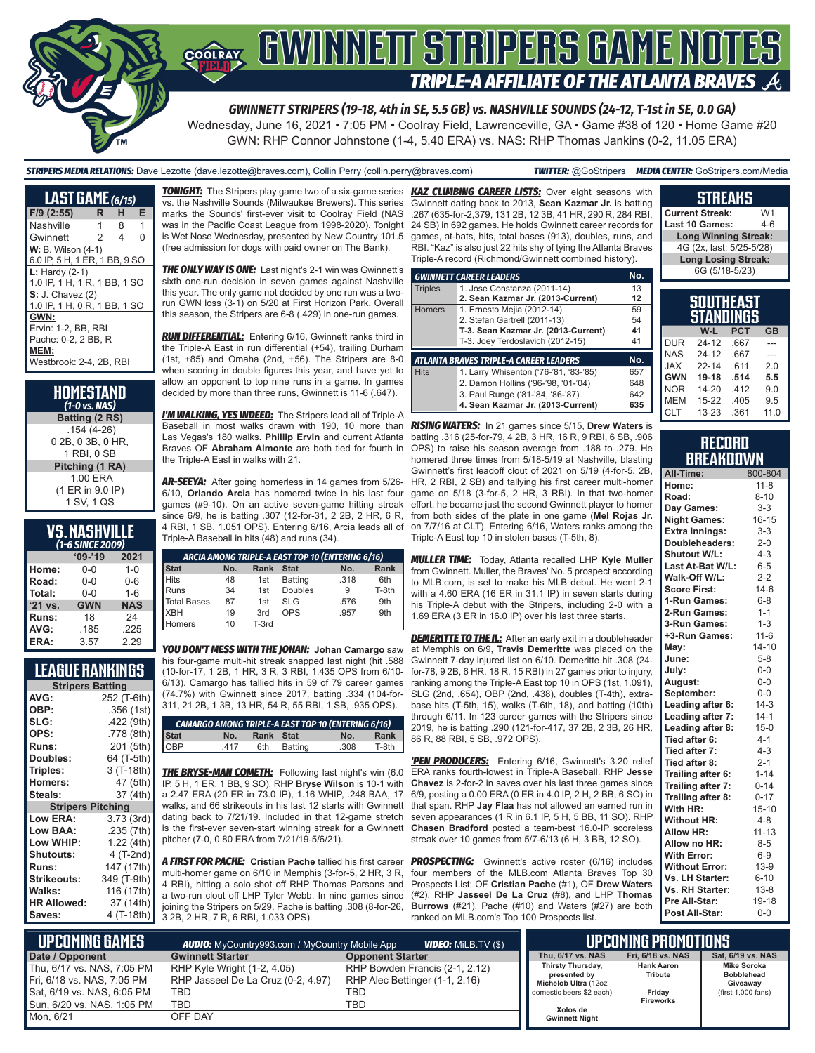### GWINNEIT STRIPERS GAME NOTES COOLRAY **TRIPLE-A AFFILIATE OF THE ATLANTA BRAVES A**

*GWINNETT STRIPERS (19-18, 4th in SE, 5.5 GB) vs. NASHVILLE SOUNDS (24-12, T-1st in SE, 0.0 GA)*

Wednesday, June 16, 2021 • 7:05 PM • Coolray Field, Lawrenceville, GA • Game #38 of 120 • Home Game #20 GWN: RHP Connor Johnstone (1-4, 5.40 ERA) vs. NAS: RHP Thomas Jankins (0-2, 11.05 ERA)

*STRIPERS MEDIA RELATIONS:* Dave Lezotte (dave.lezotte@braves.com), Collin Perry (collin.perry@braves.com) *TWITTER:* @GoStripers *MEDIA CENTER:* GoStripers.com/Media

| <b>LAST GAME</b> (6/15)                                                               |   |   |   |
|---------------------------------------------------------------------------------------|---|---|---|
| $F/9$ (2:55)                                                                          | R | н | Е |
| Nashville                                                                             | 1 | 8 | 1 |
| Gwinnett                                                                              | 2 | 4 | O |
| <b>W:</b> B. Wilson (4-1)<br>6.0 IP, 5 H, 1 ER, 1 BB, 9 SO                            |   |   |   |
| $L:$ Hardy (2-1)<br>1.0 IP, 1 H, 1 R, 1 BB, 1 SO                                      |   |   |   |
| <b>S:</b> J. Chavez (2)<br>1.0 IP, 1 H, 0 R, 1 BB, 1 SO                               |   |   |   |
| GWN:<br>Ervin: 1-2, BB, RBI<br>Pache: 0-2, 2 BB, R<br>MEM:<br>Westbrook: 2-4, 2B, RBI |   |   |   |

| HOMESTAND<br>$(1-0 \text{ vs. } \text{NAS})$ |
|----------------------------------------------|
| Batting (2 RS)                               |
| $.154(4-26)$                                 |
| 0 2B, 0 3B, 0 HR,                            |
| 1 RBI, 0 SB                                  |
| Pitching (1 RA)                              |
| 1.00 ERA                                     |
| (1 ER in 9.0 IP)                             |
| 1 SV, 1 QS                                   |
|                                              |

#### **NASHVILLE** *(1-6 SINCE 2009)*

|           | $09 - 19$  | 2021       |  |  |
|-----------|------------|------------|--|--|
| Home:     | 0-0        | $1 - 0$    |  |  |
| Road:     | $0 - 0$    | $0 - 6$    |  |  |
| Total:    | $0 - 0$    | $1 - 6$    |  |  |
| $'21$ vs. | <b>GWN</b> | <b>NAS</b> |  |  |
| Runs:     | 18         | 24         |  |  |
| AVG:      | .185       | .225       |  |  |
| ERA:      | 3.57       | 2.29       |  |  |

#### **LEAGUE RANKINGS**

| <b>Stripers Batting</b>  |              |  |  |
|--------------------------|--------------|--|--|
| AVG:                     | .252 (T-6th) |  |  |
| OBP:                     | .356 (1st)   |  |  |
| SLG:                     | .422 (9th)   |  |  |
| OPS:                     | .778 (8th)   |  |  |
| <b>Runs:</b>             | 201 (5th)    |  |  |
| <b>Doubles:</b>          | 64 (T-5th)   |  |  |
| Triples:                 | 3 (T-18th)   |  |  |
| <b>Homers:</b>           | 47 (5th)     |  |  |
| Steals:                  | 37 (4th)     |  |  |
| <b>Stripers Pitching</b> |              |  |  |
| <b>Low ERA:</b>          | 3.73 (3rd)   |  |  |
| Low BAA:                 | .235 (7th)   |  |  |
| Low WHIP:                | 1.22 (4th)   |  |  |
| <b>Shutouts:</b>         | 4 (T-2nd)    |  |  |
| Runs:                    | 147 (17th)   |  |  |
| Strikeouts:              | 349 (T-9th)  |  |  |
| Walks:                   | 116 (17th)   |  |  |
| <b>HR Allowed:</b>       | 37 (14th)    |  |  |
| Saves:                   | 4 (T-18th)   |  |  |
|                          |              |  |  |

vs. the Nashville Sounds (Milwaukee Brewers). This series marks the Sounds' first-ever visit to Coolray Field (NAS was in the Pacific Coast League from 1998-2020). Tonight is Wet Nose Wednesday, presented by New Country 101.5 (free admission for dogs with paid owner on The Bank).

*THE ONLY WAY IS ONE:* Last night's 2-1 win was Gwinnett's sixth one-run decision in seven games against Nashville this year. The only game not decided by one run was a tworun GWN loss (3-1) on 5/20 at First Horizon Park. Overall this season, the Stripers are 6-8 (.429) in one-run games.

*RUN DIFFERENTIAL:* Entering 6/16, Gwinnett ranks third in the Triple-A East in run differential (+54), trailing Durham (1st, +85) and Omaha (2nd, +56). The Stripers are 8-0 when scoring in double figures this year, and have yet to allow an opponent to top nine runs in a game. In games decided by more than three runs, Gwinnett is 11-6 (.647).

*I'M WALKING, YES INDEED:* The Stripers lead all of Triple-A Baseball in most walks drawn with 190, 10 more than *RISING WATERS:* In 21 games since 5/15, **Drew Waters** is Las Vegas's 180 walks. **Phillip Ervin** and current Atlanta batting .316 (25-for-79, 4 2B, 3 HR, 16 R, 9 RBI, 6 SB, .906 Braves OF **Abraham Almonte** are both tied for fourth in OPS) to raise his season average from .188 to .279. He the Triple-A East in walks with 21.

*AR-SEEYA:* After going homerless in 14 games from 5/26- 6/10, **Orlando Arcia** has homered twice in his last four games (#9-10). On an active seven-game hitting streak since 6/9, he is batting .307 (12-for-31, 2 2B, 2 HR, 6 R, 4 RBI, 1 SB, 1.051 OPS). Entering 6/16, Arcia leads all of Triple-A Baseball in hits (48) and runs (34).

| ARCIA AMONG TRIPLE-A EAST TOP 10 (ENTERING 6/16)         |    |       |            |      |                 |
|----------------------------------------------------------|----|-------|------------|------|-----------------|
| <b>Rank</b><br>Stat<br><b>Stat</b><br>Rank<br>No.<br>No. |    |       |            |      |                 |
| <b>Hits</b>                                              | 48 | 1st   | Batting    | .318 | 6th             |
| Runs                                                     | 34 | 1st   | Doubles    | 9    | T-8th           |
| <b>Total Bases</b>                                       | 87 | 1st   | <b>SLG</b> | .576 | 9 <sub>th</sub> |
| <b>XBH</b>                                               | 19 | 3rd   | <b>OPS</b> | .957 | 9 <sub>th</sub> |
| omers                                                    | 10 | T-3rd |            |      |                 |

his four-game multi-hit streak snapped last night (hit .588) (10-for-17, 1 2B, 1 HR, 3 R, 3 RBI, 1.435 OPS from 6/10- 6/13). Camargo has tallied hits in 59 of 79 career games (74.7%) with Gwinnett since 2017, batting .334 (104-for-311, 21 2B, 1 3B, 13 HR, 54 R, 55 RBI, 1 SB, .935 OPS).

| <b>CAMARGO AMONG TRIPLE-A EAST TOP 10 (ENTERING 6/16)</b> |      |           |             |      |         |
|-----------------------------------------------------------|------|-----------|-------------|------|---------|
| <b>Stat</b>                                               | No.  | Rank Stat |             | No.  | Rank    |
| OBP                                                       | .417 |           | 6th Batting | .308 | $T-8th$ |

**THE BRYSE-MAN COMETH:** Following last night's win (6.0) IP, 5 H, 1 ER, 1 BB, 9 SO), RHP **Bryse Wilson** is 10-1 with a 2.47 ERA (20 ER in 73.0 IP), 1.16 WHIP, .248 BAA, 17 walks, and 66 strikeouts in his last 12 starts with Gwinnett dating back to 7/21/19. Included in that 12-game stretch is the first-ever seven-start winning streak for a Gwinnett pitcher (7-0, 0.80 ERA from 7/21/19-5/6/21).

*A FIRST FOR PACHE:* **Cristian Pache** tallied his first career multi-homer game on 6/10 in Memphis (3-for-5, 2 HR, 3 R, 4 RBI), hitting a solo shot off RHP Thomas Parsons and a two-run clout off LHP Tyler Webb. In nine games since joining the Stripers on 5/29, Pache is batting .308 (8-for-26, 3 2B, 2 HR, 7 R, 6 RBI, 1.033 OPS).

*TONIGHT:* The Stripers play game two of a six-game series *KAZ CLIMBING CAREER LISTS:* Over eight seasons with Gwinnett dating back to 2013, **Sean Kazmar Jr.** is batting .267 (635-for-2,379, 131 2B, 12 3B, 41 HR, 290 R, 284 RBI, 24 SB) in 692 games. He holds Gwinnett career records for games, at-bats, hits, total bases (913), doubles, runs, and RBI. "Kaz" is also just 22 hits shy of tying the Atlanta Braves Triple-A record (Richmond/Gwinnett combined history).

|                | <b>GWINNETT CAREER LEADERS</b>                | No. |
|----------------|-----------------------------------------------|-----|
| <b>Triples</b> | 1. Jose Constanza (2011-14)                   | 13  |
|                | 2. Sean Kazmar Jr. (2013-Current)             | 12  |
| <b>Homers</b>  | 1. Ernesto Mejia (2012-14)                    | 59  |
|                | 2. Stefan Gartrell (2011-13)                  | 54  |
|                | T-3. Sean Kazmar Jr. (2013-Current)           | 41  |
|                | T-3. Joey Terdoslavich (2012-15)              | 41  |
|                | <b>ATLANTA BRAVES TRIPLE-A CAREER LEADERS</b> | No. |
| <b>Hits</b>    | 1. Larry Whisenton ('76-'81, '83-'85)         | 657 |
|                | 2. Damon Hollins ('96-'98, '01-'04)           | 648 |
|                | 3. Paul Runge ('81-'84, '86-'87)              | 642 |
|                | 4. Sean Kazmar Jr. (2013-Current)             | 635 |

homered three times from 5/18-5/19 at Nashville, blasting Gwinnett's first leadoff clout of 2021 on 5/19 (4-for-5, 2B, HR, 2 RBI, 2 SB) and tallying his first career multi-homer game on 5/18 (3-for-5, 2 HR, 3 RBI). In that two-homer effort, he became just the second Gwinnett player to homer from both sides of the plate in one game (**Mel Rojas Jr.** on 7/7/16 at CLT). Entering 6/16, Waters ranks among the Triple-A East top 10 in stolen bases (T-5th, 8).

*MULLER TIME:* Today, Atlanta recalled LHP **Kyle Muller** from Gwinnett. Muller, the Braves' No. 5 prospect according to MLB.com, is set to make his MLB debut. He went 2-1 with a 4.60 ERA (16 ER in 31.1 IP) in seven starts during his Triple-A debut with the Stripers, including 2-0 with a 1.69 ERA (3 ER in 16.0 IP) over his last three starts.

*YOU DON'T MESS WITH THE JOHAN:* **Johan Camargo** saw at Memphis on 6/9, **Travis Demeritte** was placed on the **DEMERITTE TO THE IL:** After an early exit in a doubleheader Gwinnett 7-day injured list on 6/10. Demeritte hit .308 (24 for-78, 9 2B, 6 HR, 18 R, 15 RBI) in 27 games prior to injury, ranking among the Triple-A East top 10 in OPS (1st, 1.091), SLG (2nd, .654), OBP (2nd, .438), doubles (T-4th), extrabase hits (T-5th, 15), walks (T-6th, 18), and batting (10th) through 6/11. In 123 career games with the Stripers since 2019, he is batting .290 (121-for-417, 37 2B, 2 3B, 26 HR, 86 R, 88 RBI, 5 SB, .972 OPS).

> *'PEN PRODUCERS:* Entering 6/16, Gwinnett's 3.20 relief ERA ranks fourth-lowest in Triple-A Baseball. RHP **Jesse Chavez** is 2-for-2 in saves over his last three games since 6/9, posting a 0.00 ERA (0 ER in 4.0 IP, 2 H, 2 BB, 6 SO) in that span. RHP **Jay Flaa** has not allowed an earned run in seven appearances (1 R in 6.1 IP, 5 H, 5 BB, 11 SO). RHP **Chasen Bradford** posted a team-best 16.0-IP scoreless streak over 10 games from 5/7-6/13 (6 H, 3 BB, 12 SO).

> **PROSPECTING:** Gwinnett's active roster (6/16) includes four members of the MLB.com Atlanta Braves Top 30 Prospects List: OF **Cristian Pache** (#1), OF **Drew Waters** (#2), RHP **Jasseel De La Cruz** (#8), and LHP **Thomas Burrows** (#21). Pache (#10) and Waters (#27) are both ranked on MLB.com's Top 100 Prospects list.

| <b>Current Streak:</b>      | W1      |
|-----------------------------|---------|
| Last 10 Games:              | $4 - 6$ |
| <b>Long Winning Streak:</b> |         |
| 4G (2x, last: 5/25-5/28)    |         |
| <b>Long Losing Streak:</b>  |         |
| 6G (5/18-5/23)              |         |
|                             |         |
|                             |         |

**STREAKS**

| SOUTHEAST<br>STANDINGS |           |            |           |  |
|------------------------|-----------|------------|-----------|--|
|                        | W-L       | <b>PCT</b> | <b>GB</b> |  |
| <b>DUR</b>             | 24-12     | .667       |           |  |
| <b>NAS</b>             | $24-12$   | .667       |           |  |
| <b>JAX</b>             | $22 - 14$ | .611       | 20        |  |
| <b>GWN</b>             | 19-18     | .514       | 5.5       |  |
| <b>NOR</b>             | 14-20     | .412       | 9.0       |  |
| <b>MEM</b>             | $15 - 22$ | .405       | 9.5       |  |
| <b>CLT</b>             | $13 - 23$ | .361       | 11.0      |  |

| RECORD           |  |
|------------------|--|
| <b>BREAKDOWN</b> |  |

| All-Time:             | 800-804   |
|-----------------------|-----------|
| Home:                 | $11 - 8$  |
| Road:                 | $8 - 10$  |
| Day Games:            | $3 - 3$   |
| <b>Night Games:</b>   | $16 - 15$ |
| <b>Extra Innings:</b> | $3 - 3$   |
| Doubleheaders:        | $2 - 0$   |
| Shutout W/L:          | $4 - 3$   |
| Last At-Bat W/L:      | $6-5$     |
| Walk-Off W/L:         | $2 - 2$   |
| <b>Score First:</b>   | $14-6$    |
| 1-Run Games:          | $6 - 8$   |
| 2-Run Games:          | $1 - 1$   |
| 3-Run Games:          | $1 - 3$   |
| +3-Run Games:         | $11-6$    |
| May:                  | $14 - 10$ |
| June:                 | $5 - 8$   |
| July:                 | $0-0$     |
| August:               | $0 - 0$   |
| September:            | $0-0$     |
| Leading after 6:      | $14-3$    |
| Leading after 7:      | $14 - 1$  |
| Leading after 8:      | $15 - 0$  |
| Tied after 6:         | $4 - 1$   |
| Tied after 7:         | $4 - 3$   |
| Tied after 8:         | $2 - 1$   |
| Trailing after 6:     | $1 - 14$  |
| Trailing after 7:     | $0 - 14$  |
| Trailing after 8:     | $0 - 17$  |
| With HR:              | $15 - 10$ |
| <b>Without HR:</b>    | $4 - 8$   |
| <b>Allow HR:</b>      | $11 - 13$ |
| Allow no HR:          | $8 - 5$   |
| <b>With Error:</b>    | $6-9$     |
| <b>Without Error:</b> | $13-9$    |
| Vs. LH Starter:       | $6 - 10$  |
| Vs. RH Starter:       | $13 - 8$  |
| Pre All-Star:         | 19-18     |
| Post All-Star:        | $0 - 0$   |

| L UPCOMING GAMES <b>I</b><br><b>VIDEO:</b> MiLB.TV (\$)<br><b>AUDIO:</b> MyCountry993.com / MyCountry Mobile App |                                    |                                | UPCOMING PROMOTIONS               |                              |                                         |
|------------------------------------------------------------------------------------------------------------------|------------------------------------|--------------------------------|-----------------------------------|------------------------------|-----------------------------------------|
| Date / Opponent                                                                                                  | <b>Gwinnett Starter</b>            | <b>Opponent Starter</b>        | Thu, 6/17 vs. NAS                 | Fri, 6/18 vs. NAS            | Sat, 6/19 vs. NAS                       |
| Thu, 6/17 vs. NAS, 7:05 PM                                                                                       | RHP Kyle Wright (1-2, 4.05)        | RHP Bowden Francis (2-1, 2.12) | Thirsty Thursday,<br>presented by | <b>Hank Aaron</b><br>Tribute | <b>Mike Soroka</b><br><b>Bobblehead</b> |
| Fri, 6/18 vs. NAS, 7:05 PM                                                                                       | RHP Jasseel De La Cruz (0-2, 4.97) | RHP Alec Bettinger (1-1, 2.16) | Michelob Ultra (12oz              |                              | Giveaway                                |
| Sat, 6/19 vs. NAS, 6:05 PM                                                                                       | TBD                                | TBD                            | domestic beers \$2 each)          | Fridav                       | (first 1,000 fans)                      |
| Sun, 6/20 vs. NAS, 1:05 PM                                                                                       | <b>TBD</b>                         | TBD                            | Xolos de                          | <b>Fireworks</b>             |                                         |
| Mon. 6/21                                                                                                        | OFF DAY                            |                                | <b>Gwinnett Night</b>             |                              |                                         |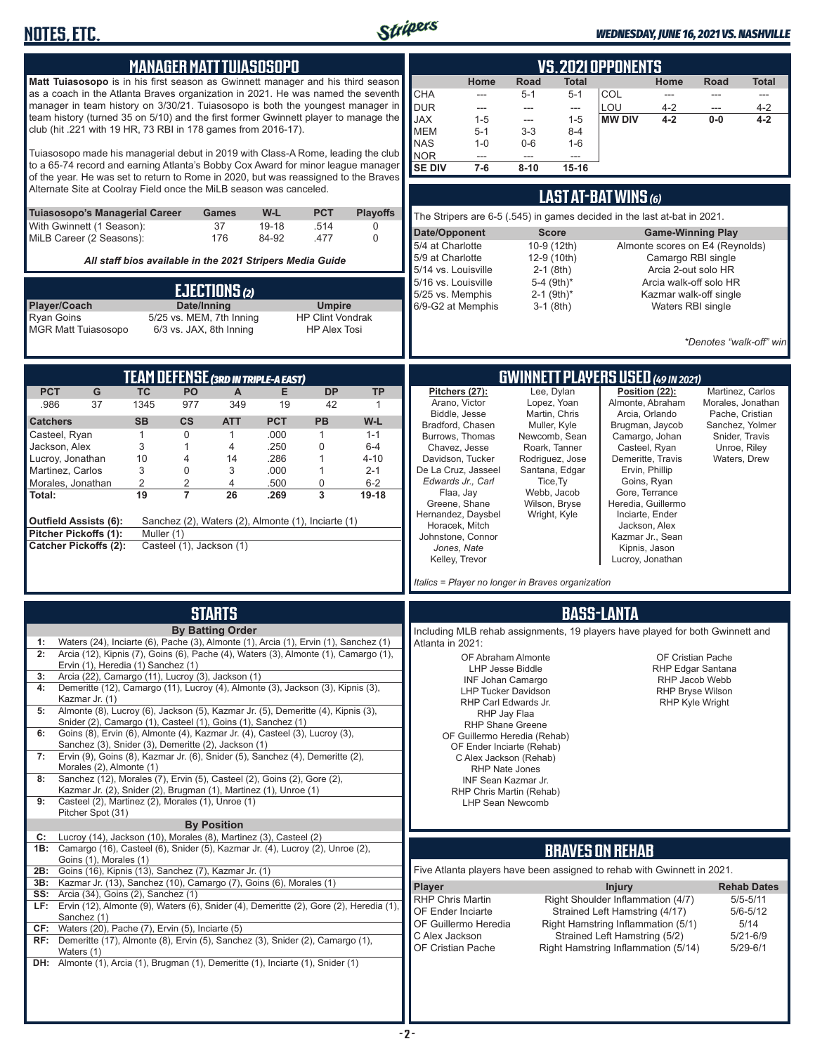

#### *WEDNESDAY, JUNE 16, 2021 VS. NASHVILLE*

| <b>MANAGER MATT TUIASOSOPO</b>                                                                                                                                                                                                                                                                                                                                                                                                                                                                                                                                                                                                                                                                                                                                                                                                                                                                                                                                                                                                                                                                                                      | <b>VS.2021 OPPONENTS</b>                                                                                                                                                                                                                                                                                                                                                                                                                                                                                                                                                                                                                                                                                                                                                                                                                                                                                                                                                                     |
|-------------------------------------------------------------------------------------------------------------------------------------------------------------------------------------------------------------------------------------------------------------------------------------------------------------------------------------------------------------------------------------------------------------------------------------------------------------------------------------------------------------------------------------------------------------------------------------------------------------------------------------------------------------------------------------------------------------------------------------------------------------------------------------------------------------------------------------------------------------------------------------------------------------------------------------------------------------------------------------------------------------------------------------------------------------------------------------------------------------------------------------|----------------------------------------------------------------------------------------------------------------------------------------------------------------------------------------------------------------------------------------------------------------------------------------------------------------------------------------------------------------------------------------------------------------------------------------------------------------------------------------------------------------------------------------------------------------------------------------------------------------------------------------------------------------------------------------------------------------------------------------------------------------------------------------------------------------------------------------------------------------------------------------------------------------------------------------------------------------------------------------------|
| Matt Tuiasosopo is in his first season as Gwinnett manager and his third season<br>as a coach in the Atlanta Braves organization in 2021. He was named the seventh<br>manager in team history on 3/30/21. Tuiasosopo is both the youngest manager in<br>team history (turned 35 on 5/10) and the first former Gwinnett player to manage the<br>club (hit .221 with 19 HR, 73 RBI in 178 games from 2016-17).<br>Tuiasosopo made his managerial debut in 2019 with Class-A Rome, leading the club<br>to a 65-74 record and earning Atlanta's Bobby Cox Award for minor league manager<br>of the year. He was set to return to Rome in 2020, but was reassigned to the Braves                                                                                                                                                                                                                                                                                                                                                                                                                                                         | Road<br>Home<br><b>Road</b><br>Home<br><b>Total</b><br>Total<br><b>CHA</b><br>COL<br>$5 - 1$<br>$5 - 1$<br>$---$<br>$\overline{\phantom{a}}$<br>$---$<br>---<br><b>DUR</b><br>LOU<br>$4 - 2$<br>$4 - 2$<br>---<br>$---$<br>$---$<br>---<br><b>JAX</b><br>$0-0$<br>$1 - 5$<br>$1 - 5$<br><b>MW DIV</b><br>4-2<br>$4 - 2$<br>$\overline{\phantom{a}}$<br><b>MEM</b><br>$5-1$<br>$3-3$<br>$8 - 4$<br><b>NAS</b><br>$1 - 0$<br>$0-6$<br>$1 - 6$<br><b>NOR</b><br>$\frac{1}{2}$<br>$\overline{a}$<br>$\overline{a}$<br><b>SE DIV</b><br>$7-6$<br>$8 - 10$<br>15-16                                                                                                                                                                                                                                                                                                                                                                                                                                |
| Alternate Site at Coolray Field once the MiLB season was canceled.<br><b>PCT</b><br><b>Tuiasosopo's Managerial Career</b><br>W-L<br><b>Playoffs</b><br>Games<br>37<br>With Gwinnett (1 Season):<br>19-18<br>.514<br>0<br>176<br>MiLB Career (2 Seasons):<br>84-92<br>.477<br>$\mathbf 0$<br>All staff bios available in the 2021 Stripers Media Guide<br>EJECTIONS (2)<br>Player/Coach<br>Date/Inning<br><b>Umpire</b><br><b>Ryan Goins</b><br>5/25 vs. MEM, 7th Inning<br><b>HP Clint Vondrak</b><br>6/3 vs. JAX, 8th Inning<br><b>MGR Matt Tuiasosopo</b><br><b>HP Alex Tosi</b>                                                                                                                                                                                                                                                                                                                                                                                                                                                                                                                                                  | LAST AT-BAT WINS (6)<br>The Stripers are 6-5 (.545) in games decided in the last at-bat in 2021.<br>Date/Opponent<br><b>Score</b><br><b>Game-Winning Play</b><br>5/4 at Charlotte<br>10-9 (12th)<br>Almonte scores on E4 (Reynolds)<br>5/9 at Charlotte<br>Camargo RBI single<br>12-9 (10th)<br>Arcia 2-out solo HR<br>5/14 vs. Louisville<br>$2-1$ (8th)<br>5-4 (9th)*<br>Arcia walk-off solo HR<br>5/16 vs. Louisville<br>$2-1$ (9th)*<br>5/25 vs. Memphis<br>Kazmar walk-off single<br>6/9-G2 at Memphis<br>$3-1$ (8th)<br>Waters RBI single<br>*Denotes "walk-off" win                                                                                                                                                                                                                                                                                                                                                                                                                   |
| <b>TEAM DEFENSE (3RD IN TRIPLE-A EAST)</b><br><b>PCT</b><br><b>DP</b><br>G<br><b>TC</b><br>PO<br>E<br><b>TP</b><br>$\mathsf{A}$<br>.986<br>37<br>1345<br>977<br>349<br>19<br>42<br>$\mathbf{1}$<br><b>Catchers</b><br><b>SB</b><br>$\mathsf{cs}$<br><b>PCT</b><br>W-L<br><b>ATT</b><br><b>PB</b><br>$\mathbf 0$<br>.000<br>Casteel, Ryan<br>$\mathbf{1}$<br>$\mathbf{1}$<br>$\mathbf{1}$<br>$1 - 1$<br>3<br>.250<br>$\mathbf 0$<br>Jackson, Alex<br>$\mathbf{1}$<br>4<br>$6-4$<br>10<br>.286<br>$\mathbf{1}$<br>Lucroy, Jonathan<br>4<br>$4 - 10$<br>14<br>3<br>0<br>3<br>.000<br>$\mathbf{1}$<br>Martinez, Carlos<br>$2 - 1$<br>$\overline{2}$<br>2<br>.500<br>0<br>$6-2$<br>Morales, Jonathan<br>4<br>19<br>$\overline{7}$<br>3<br>Total:<br>26<br>.269<br>19-18<br><b>Outfield Assists (6):</b><br>Sanchez (2), Waters (2), Almonte (1), Inciarte (1)<br><b>Pitcher Pickoffs (1):</b><br>Muller (1)<br><b>Catcher Pickoffs (2):</b><br>Casteel (1), Jackson (1)                                                                                                                                                                  | <b>GWINNETT PLAYERS USED (49 IN 2021)</b><br>Position (22):<br>Pitchers (27):<br>Lee, Dylan<br>Martinez, Carlos<br>Almonte, Abraham<br>Arano, Victor<br>Lopez, Yoan<br>Morales, Jonathan<br>Biddle, Jesse<br>Martin, Chris<br>Arcia, Orlando<br>Pache, Cristian<br>Bradford, Chasen<br>Muller, Kyle<br>Brugman, Jaycob<br>Sanchez, Yolmer<br>Burrows, Thomas<br>Newcomb, Sean<br>Camargo, Johan<br>Snider, Travis<br>Chavez, Jesse<br>Roark, Tanner<br>Casteel, Ryan<br>Unroe, Riley<br>Demeritte, Travis<br>Davidson, Tucker<br>Rodriguez, Jose<br>Waters, Drew<br>De La Cruz, Jasseel<br>Santana, Edgar<br>Ervin, Phillip<br>Edwards Jr., Carl<br>Goins, Ryan<br>Tice, Ty<br>Webb, Jacob<br>Gore, Terrance<br>Flaa, Jay<br>Greene, Shane<br>Wilson, Bryse<br>Heredia, Guillermo<br>Hernandez, Daysbel<br>Wright, Kyle<br>Inciarte, Ender<br>Horacek, Mitch<br>Jackson, Alex<br>Johnstone, Connor<br>Kazmar Jr., Sean<br>Jones, Nate<br>Kipnis, Jason<br>Kelley, Trevor<br>Lucroy, Jonathan |
|                                                                                                                                                                                                                                                                                                                                                                                                                                                                                                                                                                                                                                                                                                                                                                                                                                                                                                                                                                                                                                                                                                                                     | Italics = Player no longer in Braves organization                                                                                                                                                                                                                                                                                                                                                                                                                                                                                                                                                                                                                                                                                                                                                                                                                                                                                                                                            |
| <b>STARTS</b><br><b>By Batting Order</b><br>1:<br>Waters (24), Inciarte (6), Pache (3), Almonte (1), Arcia (1), Ervin (1), Sanchez (1)<br>Arcia (12), Kipnis (7), Goins (6), Pache (4), Waters (3), Almonte (1), Camargo (1),<br>2:<br>Ervin (1), Heredia (1) Sanchez (1)<br>Arcia (22), Camargo (11), Lucroy (3), Jackson (1)<br>3:<br>Demeritte (12), Camargo (11), Lucroy (4), Almonte (3), Jackson (3), Kipnis (3),<br>4:<br>Kazmar Jr. (1)<br>Almonte (8), Lucroy (6), Jackson (5), Kazmar Jr. (5), Demeritte (4), Kipnis (3),<br>5:<br>Snider (2), Camargo (1), Casteel (1), Goins (1), Sanchez (1)<br>Goins (8), Ervin (6), Almonte (4), Kazmar Jr. (4), Casteel (3), Lucroy (3),<br>6:<br>Sanchez (3), Snider (3), Demeritte (2), Jackson (1)<br>Ervin (9), Goins (8), Kazmar Jr. (6), Snider (5), Sanchez (4), Demeritte (2),<br>7:<br>Morales (2), Almonte (1)<br>Sanchez (12), Morales (7), Ervin (5), Casteel (2), Goins (2), Gore (2),<br>8:<br>Kazmar Jr. (2), Snider (2), Brugman (1), Martinez (1), Unroe (1)<br>Casteel (2), Martinez (2), Morales (1), Unroe (1)<br>9:<br>Pitcher Spot (31)<br><b>By Position</b> | <b>BASS-LANTA</b><br>Including MLB rehab assignments, 19 players have played for both Gwinnett and<br>Atlanta in 2021:<br>OF Cristian Pache<br>OF Abraham Almonte<br>LHP Jesse Biddle<br>RHP Edgar Santana<br>INF Johan Camargo<br>RHP Jacob Webb<br>RHP Bryse Wilson<br><b>LHP Tucker Davidson</b><br>RHP Carl Edwards Jr.<br><b>RHP Kyle Wright</b><br>RHP Jay Flaa<br><b>RHP Shane Greene</b><br>OF Guillermo Heredia (Rehab)<br>OF Ender Inciarte (Rehab)<br>C Alex Jackson (Rehab)<br>RHP Nate Jones<br>INF Sean Kazmar Jr.<br>RHP Chris Martin (Rehab)<br><b>LHP Sean Newcomb</b>                                                                                                                                                                                                                                                                                                                                                                                                      |
| Lucroy (14), Jackson (10), Morales (8), Martinez (3), Casteel (2)<br>C:<br>1B: Camargo (16), Casteel (6), Snider (5), Kazmar Jr. (4), Lucroy (2), Unroe (2),<br>Goins (1), Morales (1)<br>Goins (16), Kipnis (13), Sanchez (7), Kazmar Jr. (1)<br>2B:<br>Kazmar Jr. (13), Sanchez (10), Camargo (7), Goins (6), Morales (1)<br>3B:<br><b>SS:</b> Arcia (34), Goins (2), Sanchez (1)<br>LF: Ervin (12), Almonte (9), Waters (6), Snider (4), Demeritte (2), Gore (2), Heredia (1)<br>Sanchez (1)<br>$CF:$ Waters (20), Pache (7), Ervin (5), Inciarte (5)<br>RF: Demeritte (17), Almonte (8), Ervin (5), Sanchez (3), Snider (2), Camargo (1),<br>Waters (1)<br><b>DH:</b> Almonte (1), Arcia (1), Brugman (1), Demeritte (1), Inciarte (1), Snider (1)                                                                                                                                                                                                                                                                                                                                                                              | <b>BRAVES ON REHAB</b><br>Five Atlanta players have been assigned to rehab with Gwinnett in 2021.<br>Player<br><b>Rehab Dates</b><br><b>Injury</b><br>Right Shoulder Inflammation (4/7)<br><b>RHP Chris Martin</b><br>$5/5 - 5/11$<br>OF Ender Inciarte<br>Strained Left Hamstring (4/17)<br>$5/6 - 5/12$<br>Right Hamstring Inflammation (5/1)<br>OF Guillermo Heredia<br>5/14<br>C Alex Jackson<br>Strained Left Hamstring (5/2)<br>5/21-6/9<br>OF Cristian Pache<br>Right Hamstring Inflammation (5/14)<br>$5/29 - 6/1$                                                                                                                                                                                                                                                                                                                                                                                                                                                                   |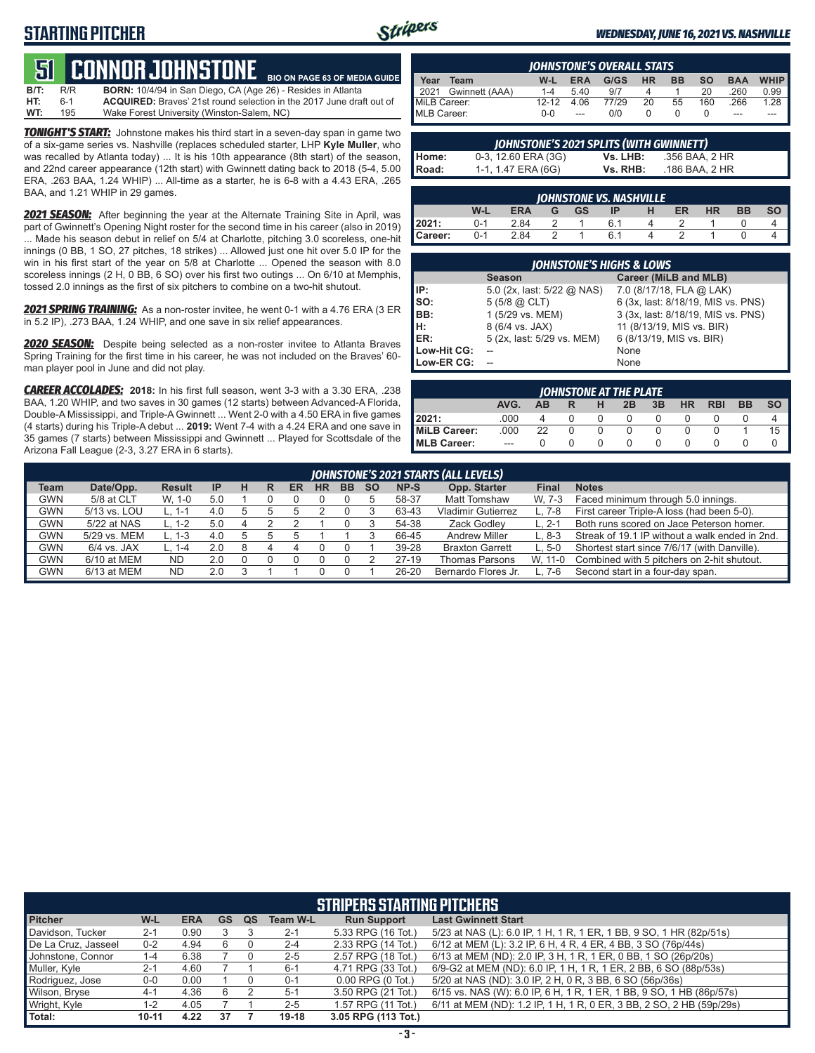## **STARTING PITCHER**



**BIO ON PAGE 63 OF MEDIA GUIDE**

#### *WEDNESDAY, JUNE 16, 2021 VS. NASHVILLE*

# **51****CONNOR JOHNSTONE**

**B/T:** R/R **BORN:** 10/4/94 in San Diego, CA (Age 26) - Resides in Atlanta 6-1 **ACQUIRED:** Braves' 21st round selection in the 2017 June draft out of 195<br>195 Wake Forest University (Winston-Salem, NC) **WT:** 195 Wake Forest University (Winston-Salem, NC)

*TONIGHT'S START:* Johnstone makes his third start in a seven-day span in game two of a six-game series vs. Nashville (replaces scheduled starter, LHP **Kyle Muller**, who was recalled by Atlanta today) ... It is his 10th appearance (8th start) of the season, and 22nd career appearance (12th start) with Gwinnett dating back to 2018 (5-4, 5.00 ERA, .263 BAA, 1.24 WHIP) ... All-time as a starter, he is 6-8 with a 4.43 ERA, .265 BAA, and 1.21 WHIP in 29 games.

*2021 SEASON:* After beginning the year at the Alternate Training Site in April, was part of Gwinnett's Opening Night roster for the second time in his career (also in 2019) ... Made his season debut in relief on 5/4 at Charlotte, pitching 3.0 scoreless, one-hit innings (0 BB, 1 SO, 27 pitches, 18 strikes) ... Allowed just one hit over 5.0 IP for the win in his first start of the year on 5/8 at Charlotte ... Opened the season with 8.0 scoreless innings (2 H, 0 BB, 6 SO) over his first two outings ... On 6/10 at Memphis, tossed 2.0 innings as the first of six pitchers to combine on a two-hit shutout.

*2021 SPRING TRAINING:* As a non-roster invitee, he went 0-1 with a 4.76 ERA (3 ER in 5.2 IP), .273 BAA, 1.24 WHIP, and one save in six relief appearances.

*2020 SEASON:* Despite being selected as a non-roster invitee to Atlanta Braves Spring Training for the first time in his career, he was not included on the Braves' 60 man player pool in June and did not play.

*CAREER ACCOLADES:* **2018:** In his first full season, went 3-3 with a 3.30 ERA, .238 BAA, 1.20 WHIP, and two saves in 30 games (12 starts) between Advanced-A Florida, Double-A Mississippi, and Triple-A Gwinnett ... Went 2-0 with a 4.50 ERA in five games (4 starts) during his Triple-A debut ... **2019:** Went 7-4 with a 4.24 ERA and one save in 35 games (7 starts) between Mississippi and Gwinnett ... Played for Scottsdale of the Arizona Fall League (2-3, 3.27 ERA in 6 starts).

|              | <b>IOHNSTONE'S OVERALL STATS</b> |           |            |       |           |           |           |            |             |  |
|--------------|----------------------------------|-----------|------------|-------|-----------|-----------|-----------|------------|-------------|--|
| Year         | Team                             | W-L       | <b>ERA</b> | G/GS  | <b>HR</b> | <b>BB</b> | <b>SO</b> | <b>BAA</b> | <b>WHIP</b> |  |
| 2021         | Gwinnett (AAA)                   | $1 - 4$   | 5.40       | 9/7   | Δ         |           | 20        | .260       | 0.99        |  |
| MiLB Career: |                                  | $12 - 12$ | 4.06       | 77/29 | 20        | 55        | 160       | .266       | $1.28$ .    |  |
| MLB Career:  |                                  | $0 - 0$   | ---        | റ/റ   |           |           |           | ---        |             |  |

| JOHNSTONE'S 2021 SPLITS (WITH GWINNETT) |                     |          |                |  |  |  |  |  |  |  |
|-----------------------------------------|---------------------|----------|----------------|--|--|--|--|--|--|--|
|                                         | 0-3, 12.60 ERA (3G) | Vs. LHB: | .356 BAA. 2 HR |  |  |  |  |  |  |  |
| Home:<br>Road:                          | 1-1, 1.47 ERA (6G)  | Vs. RHB: | .186 BAA, 2 HR |  |  |  |  |  |  |  |

| <b>IOHNSTONE VS. NASHVILLE</b> |         |            |   |           |    |  |    |           |    |    |
|--------------------------------|---------|------------|---|-----------|----|--|----|-----------|----|----|
|                                | W-L     | <b>ERA</b> | G | <b>GS</b> | IP |  | ER | <b>HR</b> | ВB | SΟ |
| 2021:                          | $0 - 1$ | 2.84       |   |           |    |  |    |           |    |    |
| Career:                        | በ-1     | 2.84       |   |           | 6. |  |    |           |    |    |

| <b>JOHNSTONE'S HIGHS &amp; LOWS</b> |                            |                                    |  |  |  |  |  |  |  |
|-------------------------------------|----------------------------|------------------------------------|--|--|--|--|--|--|--|
|                                     | <b>Season</b>              | Career (MiLB and MLB)              |  |  |  |  |  |  |  |
| IP:                                 | 5.0 (2x, last: 5/22 @ NAS) | 7.0 (8/17/18, FLA @ LAK)           |  |  |  |  |  |  |  |
| Iso:                                | $5(5/8)$ $\omega$ CLT)     | 6 (3x, last: 8/18/19, MIS vs. PNS) |  |  |  |  |  |  |  |
| BB:                                 | 1 (5/29 vs. MEM)           | 3 (3x, last: 8/18/19, MIS vs. PNS) |  |  |  |  |  |  |  |
| Iн:                                 | 8 (6/4 vs. JAX)            | 11 (8/13/19, MIS vs. BIR)          |  |  |  |  |  |  |  |
| <b>IER:</b>                         | 5 (2x, last: 5/29 vs. MEM) | 6 (8/13/19, MIS vs. BIR)           |  |  |  |  |  |  |  |
| Low-Hit CG:                         |                            | None                               |  |  |  |  |  |  |  |
| Low-ER CG:                          |                            | None                               |  |  |  |  |  |  |  |

| JOHNSTONE AT THE PLATE |         |           |   |   |              |    |           |            |           |           |
|------------------------|---------|-----------|---|---|--------------|----|-----------|------------|-----------|-----------|
|                        | AVG.    | <b>AB</b> |   | н | 2B           | 3B | <b>HR</b> | <b>RBI</b> | <b>BB</b> | <b>SO</b> |
| 2021:                  | .000    |           |   |   | $\mathbf{0}$ |    |           |            |           |           |
| MiLB Career:           | .000    | 22        | U | 0 | 0            |    |           |            |           | 15        |
| <b>IMLB Career:</b>    | $- - -$ |           |   | 0 | $\Omega$     |    |           |            |           |           |

|             | JOHNSTONE'S 2021 STARTS (ALL LEVELS) |               |           |   |   |    |           |     |           |         |                           |          |                                                |
|-------------|--------------------------------------|---------------|-----------|---|---|----|-----------|-----|-----------|---------|---------------------------|----------|------------------------------------------------|
| <b>Team</b> | Date/Opp.                            | <b>Result</b> | <b>IP</b> | н | R | ER | <b>HR</b> | BB. | <b>SO</b> | NP-S    | Opp. Starter              | Final    | <b>Notes</b>                                   |
| <b>GWN</b>  | 5/8 at CLT                           | W. 1-0        | 5.0       |   |   |    |           |     |           | 58-37   | <b>Matt Tomshaw</b>       | W. 7-3   | Faced minimum through 5.0 innings.             |
| <b>GWN</b>  | 5/13 vs. LOU                         | L. 1-1        | 4.0       |   |   |    |           |     |           | 63-43   | <b>Vladimir Gutierrez</b> | L. 7-8   | First career Triple-A loss (had been 5-0).     |
| <b>GWN</b>  | 5/22 at NAS                          | L. 1-2        | 5.0       |   |   |    |           |     |           | 54-38   | Zack Godley               | $L. 2-1$ | Both runs scored on Jace Peterson homer.       |
| <b>GWN</b>  | 5/29 vs. MEM                         | L. 1-3        | 4.0       |   |   |    |           |     |           | 66-45   | <b>Andrew Miller</b>      | $L.8-3$  | Streak of 19.1 IP without a walk ended in 2nd. |
| <b>GWN</b>  | $6/4$ vs. JAX                        | L. 1-4        | 2.0       |   |   |    |           |     |           | 39-28   | <b>Braxton Garrett</b>    | $L.5-0$  | Shortest start since 7/6/17 (with Danville).   |
| <b>GWN</b>  | 6/10 at MEM                          | <b>ND</b>     | 2.0       |   |   |    |           |     |           | $27-19$ | <b>Thomas Parsons</b>     | W. 11-0  | Combined with 5 pitchers on 2-hit shutout.     |
| <b>GWN</b>  | 6/13 at MEM                          | <b>ND</b>     | 2.0       |   |   |    |           |     |           | 26-20   | Bernardo Flores Jr.       | 7-6      | Second start in a four-day span.               |

| <b>STRIPERS STARTING PITCHERS</b> |           |            |           |           |                 |                       |                                                                      |  |  |  |
|-----------------------------------|-----------|------------|-----------|-----------|-----------------|-----------------------|----------------------------------------------------------------------|--|--|--|
| <b>Pitcher</b>                    | W-L       | <b>ERA</b> | <b>GS</b> | <b>QS</b> | <b>Team W-L</b> | <b>Run Support</b>    | <b>Last Gwinnett Start</b>                                           |  |  |  |
| Davidson, Tucker                  | $2 - 1$   | 0.90       |           |           | $2 - 1$         | 5.33 RPG (16 Tot.)    | 5/23 at NAS (L): 6.0 IP, 1 H, 1 R, 1 ER, 1 BB, 9 SO, 1 HR (82p/51s)  |  |  |  |
| De La Cruz, Jasseel               | $0 - 2$   | 4.94       | 6         |           | $2 - 4$         | 2.33 RPG (14 Tot.)    | 6/12 at MEM (L): 3.2 IP, 6 H, 4 R, 4 ER, 4 BB, 3 SO (76p/44s)        |  |  |  |
| Johnstone, Connor                 | $1 - 4$   | 6.38       |           |           | $2 - 5$         | 2.57 RPG (18 Tot.)    | 6/13 at MEM (ND): 2.0 IP, 3 H, 1 R, 1 ER, 0 BB, 1 SO (26p/20s)       |  |  |  |
| Muller, Kyle                      | $2 - 1$   | 4.60       |           |           | $6 - 1$         | 4.71 RPG (33 Tot.)    | 6/9-G2 at MEM (ND): 6.0 IP, 1 H, 1 R, 1 ER, 2 BB, 6 SO (88p/53s)     |  |  |  |
| Rodriguez, Jose                   | $0 - 0$   | 0.00       |           |           | $0 - 1$         | $0.00$ RPG $(0$ Tot.) | 5/20 at NAS (ND): 3.0 IP, 2 H, 0 R, 3 BB, 6 SO (56p/36s)             |  |  |  |
| Wilson, Bryse                     | $4-1$     | 4.36       | 6         |           | $5 - 1$         | 3.50 RPG (21 Tot.)    | 6/15 vs. NAS (W): 6.0 IP, 6 H, 1 R, 1 ER, 1 BB, 9 SO, 1 HB (86p/57s) |  |  |  |
| Wright, Kyle                      | $1 - 2$   | 4.05       |           |           | $2 - 5$         | 1.57 RPG (11 Tot.)    | 6/11 at MEM (ND): 1.2 IP, 1 H, 1 R, 0 ER, 3 BB, 2 SO, 2 HB (59p/29s) |  |  |  |
| Total:                            | $10 - 11$ | 4.22       | 37        |           | $19 - 18$       | 3.05 RPG (113 Tot.)   |                                                                      |  |  |  |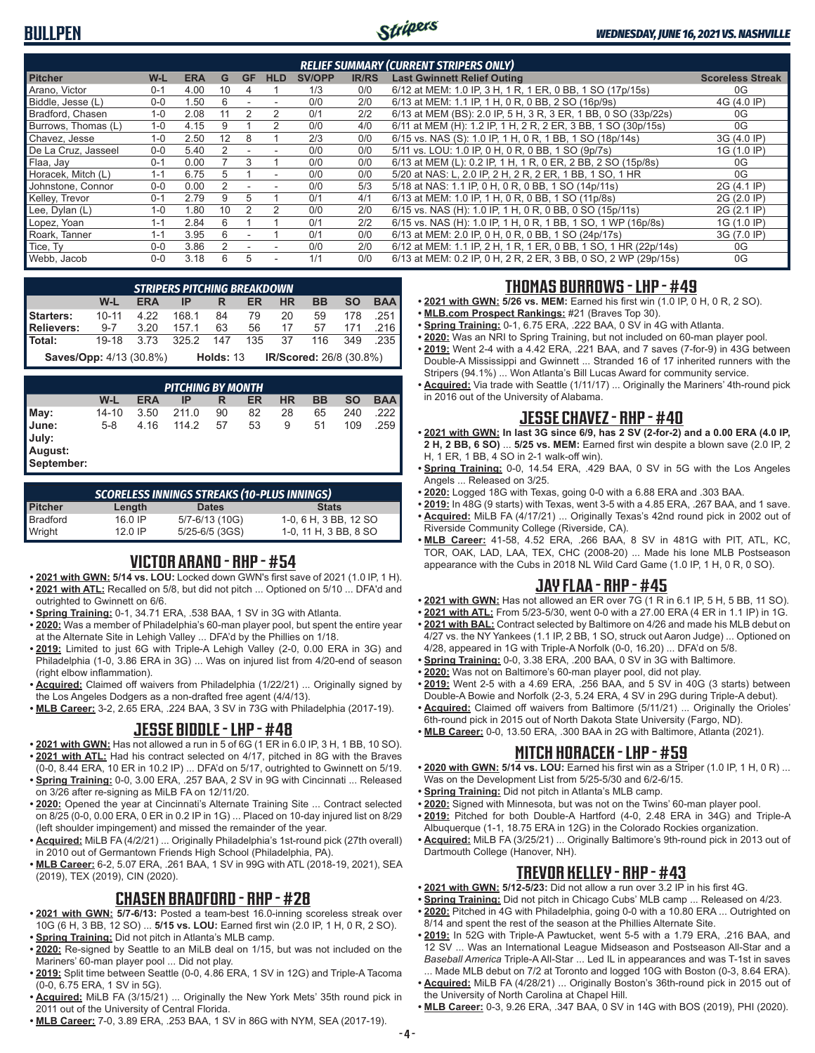

| <b>RELIEF SUMMARY (CURRENT STRIPERS ONLY)</b> |         |            |    |           |            |               |              |                                                                 |                         |  |
|-----------------------------------------------|---------|------------|----|-----------|------------|---------------|--------------|-----------------------------------------------------------------|-------------------------|--|
| <b>Pitcher</b>                                | W-L     | <b>ERA</b> | G  | <b>GF</b> | <b>HLD</b> | <b>SV/OPP</b> | <b>IR/RS</b> | <b>Last Gwinnett Relief Outing</b>                              | <b>Scoreless Streak</b> |  |
| Arano, Victor                                 | $0 - 1$ | 4.00       | 10 | 4         |            | 1/3           | 0/0          | 6/12 at MEM: 1.0 IP, 3 H, 1 R, 1 ER, 0 BB, 1 SO (17p/15s)       | 0G                      |  |
| Biddle, Jesse (L)                             | $0 - 0$ | .50        | 6  |           |            | 0/0           | 2/0          | 6/13 at MEM: 1.1 IP, 1 H, 0 R, 0 BB, 2 SO (16p/9s)              | 4G (4.0 IP)             |  |
| Bradford, Chasen                              | $1 - 0$ | 2.08       | 11 |           | 2          | 0/1           | 2/2          | 6/13 at MEM (BS): 2.0 IP, 5 H, 3 R, 3 ER, 1 BB, 0 SO (33p/22s)  | 0G                      |  |
| Burrows, Thomas (L)                           | $1 - 0$ | 4.15       | 9  |           | 2          | 0/0           | 4/0          | 6/11 at MEM (H): 1.2 IP, 1 H, 2 R, 2 ER, 3 BB, 1 SO (30p/15s)   | 0G                      |  |
| Chavez, Jesse                                 | $1 - 0$ | 2.50       | 12 | 8         |            | 2/3           | 0/0          | 6/15 vs. NAS (S): 1.0 IP, 1 H, 0 R, 1 BB, 1 SO (18p/14s)        | 3G (4.0 IP)             |  |
| De La Cruz, Jasseel                           | $0 - 0$ | 5.40       |    |           |            | 0/0           | 0/0          | 5/11 vs. LOU: 1.0 IP, 0 H, 0 R, 0 BB, 1 SO (9p/7s)              | 1G (1.0 IP)             |  |
| Flaa, Jay                                     | $0 - 1$ | 0.00       |    | 3         |            | 0/0           | 0/0          | 6/13 at MEM (L): 0.2 IP, 1 H, 1 R, 0 ER, 2 BB, 2 SO (15p/8s)    | 0G                      |  |
| Horacek, Mitch (L)                            | $1 - 1$ | 6.75       | 5. |           |            | 0/0           | 0/0          | 5/20 at NAS: L, 2.0 IP, 2 H, 2 R, 2 ER, 1 BB, 1 SO, 1 HR        | 0G                      |  |
| Johnstone, Connor                             | $0 - 0$ | 0.00       |    |           |            | 0/0           | 5/3          | 5/18 at NAS: 1.1 IP, 0 H, 0 R, 0 BB, 1 SO (14p/11s)             | 2G (4.1 IP)             |  |
| Kelley, Trevor                                | $0 - 1$ | 2.79       | 9  | 5         |            | 0/1           | 4/1          | 6/13 at MEM: 1.0 IP, 1 H, 0 R, 0 BB, 1 SO (11p/8s)              | 2G (2.0 IP)             |  |
| Lee, Dylan (L)                                | $1 - 0$ | .80        | 10 |           |            | 0/0           | 2/0          | 6/15 vs. NAS (H): 1.0 IP, 1 H, 0 R, 0 BB, 0 SO (15p/11s)        | 2G (2.1 IP)             |  |
| Lopez, Yoan                                   | $1 - 1$ | 2.84       | հ  |           |            | 0/1           | 2/2          | 6/15 vs. NAS (H): 1.0 IP, 1 H, 0 R, 1 BB, 1 SO, 1 WP (16p/8s)   | 1G (1.0 IP)             |  |
| Roark, Tanner                                 | $1 - 1$ | 3.95       | հ  |           |            | 0/1           | 0/0          | 6/13 at MEM: 2.0 IP, 0 H, 0 R, 0 BB, 1 SO (24p/17s)             | 3G (7.0 IP)             |  |
| Tice. Tv                                      | $0 - 0$ | 3.86       |    |           |            | 0/0           | 2/0          | 6/12 at MEM: 1.1 IP, 2 H, 1 R, 1 ER, 0 BB, 1 SO, 1 HR (22p/14s) | 0G                      |  |
| Webb, Jacob                                   | $0-0$   | 3.18       |    | 5         |            | 1/1           | 0/0          | 6/13 at MEM: 0.2 IP, 0 H, 2 R, 2 ER, 3 BB, 0 SO, 2 WP (29p/15s) | 0G                      |  |

| <b>STRIPERS PITCHING BREAKDOWN</b>                                              |           |            |       |                  |           |           |              |           |            |
|---------------------------------------------------------------------------------|-----------|------------|-------|------------------|-----------|-----------|--------------|-----------|------------|
|                                                                                 | W-L       | <b>ERA</b> | IP    | R                | <b>ER</b> | <b>HR</b> | <b>BB</b>    | <b>SO</b> | <b>BAA</b> |
| Starters:                                                                       | $10 - 11$ | 4.22       | 168.1 | 84               | 79        | 20        | 59           | 178       | .251       |
| Relievers:                                                                      | 9-7       | 3.20       | 157.1 | 63               |           |           | 56 17 57 171 |           | .216       |
| l Total:                                                                        | 19-18     | 3.73       | 325.2 | $14\overline{7}$ |           | 135 37    |              | 116 349   | .235       |
| <b>IR/Scored:</b> 26/8 (30.8%)<br><b>Saves/Opp:</b> 4/13 (30.8%)<br>Holds: $13$ |           |            |       |                  |           |           |              |           |            |

| <b>PITCHING BY MONTH</b> |           |            |       |    |    |           |    |           |            |
|--------------------------|-----------|------------|-------|----|----|-----------|----|-----------|------------|
|                          | W-L       | <b>ERA</b> | ΙP    | R  | ER | <b>HR</b> | BB | <b>SO</b> | <b>BAA</b> |
| $\blacksquare$ May:      | $14 - 10$ | 3.50       | 211.0 | 90 | 82 | 28        | 65 | 240       | .222       |
| June:<br>July:           | $5 - 8$   | 4.16       | 114.2 | 57 | 53 | 9         | 51 | 109       | .259       |
| August:<br>September:    |           |            |       |    |    |           |    |           |            |

| SCORELESS INNINGS STREAKS (10-PLUS INNINGS) |         |                    |                       |  |  |  |  |  |  |  |
|---------------------------------------------|---------|--------------------|-----------------------|--|--|--|--|--|--|--|
| Pitcher                                     | Length  | <b>Dates</b>       | <b>Stats</b>          |  |  |  |  |  |  |  |
|                                             | 16.0 IP | 5/7-6/13 (10G)     | 1-0, 6 H, 3 BB, 12 SO |  |  |  |  |  |  |  |
| Bradford<br>Wright                          | 12.0 IP | $5/25 - 6/5$ (3GS) | 1-0, 11 H, 3 BB, 8 SO |  |  |  |  |  |  |  |

### **VICTOR ARANO - RHP - #54**

- **• 2021 with GWN: 5/14 vs. LOU:** Locked down GWN's first save of 2021 (1.0 IP, 1 H). **• 2021 with ATL:** Recalled on 5/8, but did not pitch ... Optioned on 5/10 ... DFA'd and outrighted to Gwinnett on 6/6.
- **• Spring Training:** 0-1, 34.71 ERA, .538 BAA, 1 SV in 3G with Atlanta.
- **• 2020:** Was a member of Philadelphia's 60-man player pool, but spent the entire year at the Alternate Site in Lehigh Valley ... DFA'd by the Phillies on 1/18.
- **• 2019:** Limited to just 6G with Triple-A Lehigh Valley (2-0, 0.00 ERA in 3G) and Philadelphia (1-0, 3.86 ERA in 3G) ... Was on injured list from 4/20-end of season (right elbow inflammation).
- **• Acquired:** Claimed off waivers from Philadelphia (1/22/21) ... Originally signed by the Los Angeles Dodgers as a non-drafted free agent (4/4/13).
- **• MLB Career:** 3-2, 2.65 ERA, .224 BAA, 3 SV in 73G with Philadelphia (2017-19).

#### **JESSE BIDDLE - LHP - #48**

- **• 2021 with GWN:** Has not allowed a run in 5 of 6G (1 ER in 6.0 IP, 3 H, 1 BB, 10 SO). **• 2021 with ATL:** Had his contract selected on 4/17, pitched in 8G with the Braves
- (0-0, 8.44 ERA, 10 ER in 10.2 IP) ... DFA'd on 5/17, outrighted to Gwinnett on 5/19. **• Spring Training:** 0-0, 3.00 ERA, .257 BAA, 2 SV in 9G with Cincinnati ... Released
- on 3/26 after re-signing as MiLB FA on 12/11/20. **• 2020:** Opened the year at Cincinnati's Alternate Training Site ... Contract selected
- on 8/25 (0-0, 0.00 ERA, 0 ER in 0.2 IP in 1G) ... Placed on 10-day injured list on 8/29 (left shoulder impingement) and missed the remainder of the year.
- **• Acquired:** MiLB FA (4/2/21) ... Originally Philadelphia's 1st-round pick (27th overall) in 2010 out of Germantown Friends High School (Philadelphia, PA).
- **• MLB Career:** 6-2, 5.07 ERA, .261 BAA, 1 SV in 99G with ATL (2018-19, 2021), SEA (2019), TEX (2019), CIN (2020).

#### **CHASEN BRADFORD - RHP - #28**

- **• 2021 with GWN: 5/7-6/13:** Posted a team-best 16.0-inning scoreless streak over 10G (6 H, 3 BB, 12 SO) ... **5/15 vs. LOU:** Earned first win (2.0 IP, 1 H, 0 R, 2 SO). **• Spring Training:** Did not pitch in Atlanta's MLB camp.
- **• 2020:** Re-signed by Seattle to an MiLB deal on 1/15, but was not included on the Mariners' 60-man player pool ... Did not play.
- **• 2019:** Split time between Seattle (0-0, 4.86 ERA, 1 SV in 12G) and Triple-A Tacoma (0-0, 6.75 ERA, 1 SV in 5G).
- **• Acquired:** MiLB FA (3/15/21) ... Originally the New York Mets' 35th round pick in 2011 out of the University of Central Florida.
- **• MLB Career:** 7-0, 3.89 ERA, .253 BAA, 1 SV in 86G with NYM, SEA (2017-19).

### **THOMAS BURROWS - LHP - #49**

- **• 2021 with GWN: 5/26 vs. MEM:** Earned his first win (1.0 IP, 0 H, 0 R, 2 SO).
- **• MLB.com Prospect Rankings:** #21 (Braves Top 30).
- **• Spring Training:** 0-1, 6.75 ERA, .222 BAA, 0 SV in 4G with Atlanta.
- **• 2020:** Was an NRI to Spring Training, but not included on 60-man player pool. **• 2019:** Went 2-4 with a 4.42 ERA, .221 BAA, and 7 saves (7-for-9) in 43G between Double-A Mississippi and Gwinnett ... Stranded 16 of 17 inherited runners with the Stripers (94.1%) ... Won Atlanta's Bill Lucas Award for community service.
- **• Acquired:** Via trade with Seattle (1/11/17) ... Originally the Mariners' 4th-round pick in 2016 out of the University of Alabama.

## **JESSE CHAVEZ - RHP - #40**

- **• 2021 with GWN: In last 3G since 6/9, has 2 SV (2-for-2) and a 0.00 ERA (4.0 IP, 2 H, 2 BB, 6 SO)** ... **5/25 vs. MEM:** Earned first win despite a blown save (2.0 IP, 2 H, 1 ER, 1 BB, 4 SO in 2-1 walk-off win).
- **• Spring Training:** 0-0, 14.54 ERA, .429 BAA, 0 SV in 5G with the Los Angeles Angels ... Released on 3/25.
- **• 2020:** Logged 18G with Texas, going 0-0 with a 6.88 ERA and .303 BAA.
- **• 2019:** In 48G (9 starts) with Texas, went 3-5 with a 4.85 ERA, .267 BAA, and 1 save. **• Acquired:** MiLB FA (4/17/21) ... Originally Texas's 42nd round pick in 2002 out of
- Riverside Community College (Riverside, CA).
- **• MLB Career:** 41-58, 4.52 ERA, .266 BAA, 8 SV in 481G with PIT, ATL, KC, TOR, OAK, LAD, LAA, TEX, CHC (2008-20) ... Made his lone MLB Postseason appearance with the Cubs in 2018 NL Wild Card Game (1.0 IP, 1 H, 0 R, 0 SO).

## **JAY FLAA - RHP - #45**

- **• 2021 with GWN:** Has not allowed an ER over 7G (1 R in 6.1 IP, 5 H, 5 BB, 11 SO).
- **• 2021 with ATL:** From 5/23-5/30, went 0-0 with a 27.00 ERA (4 ER in 1.1 IP) in 1G.
- **• 2021 with BAL:** Contract selected by Baltimore on 4/26 and made his MLB debut on 4/27 vs. the NY Yankees (1.1 IP, 2 BB, 1 SO, struck out Aaron Judge) ... Optioned on 4/28, appeared in 1G with Triple-A Norfolk (0-0, 16.20) ... DFA'd on 5/8.
- **• Spring Training:** 0-0, 3.38 ERA, .200 BAA, 0 SV in 3G with Baltimore.
- **• 2020:** Was not on Baltimore's 60-man player pool, did not play.
- **• 2019:** Went 2-5 with a 4.69 ERA, .256 BAA, and 5 SV in 40G (3 starts) between Double-A Bowie and Norfolk (2-3, 5.24 ERA, 4 SV in 29G during Triple-A debut).
- **• Acquired:** Claimed off waivers from Baltimore (5/11/21) ... Originally the Orioles' 6th-round pick in 2015 out of North Dakota State University (Fargo, ND).
- **• MLB Career:** 0-0, 13.50 ERA, .300 BAA in 2G with Baltimore, Atlanta (2021).

## **MITCH HORACEK - LHP - #59**

- **• 2020 with GWN: 5/14 vs. LOU:** Earned his first win as a Striper (1.0 IP, 1 H, 0 R) ... Was on the Development List from 5/25-5/30 and 6/2-6/15.
- **• Spring Training:** Did not pitch in Atlanta's MLB camp.
- **• 2020:** Signed with Minnesota, but was not on the Twins' 60-man player pool.
- **• 2019:** Pitched for both Double-A Hartford (4-0, 2.48 ERA in 34G) and Triple-A Albuquerque (1-1, 18.75 ERA in 12G) in the Colorado Rockies organization.
- **• Acquired:** MiLB FA (3/25/21) ... Originally Baltimore's 9th-round pick in 2013 out of Dartmouth College (Hanover, NH).

## **TREVOR KELLEY - RHP - #43**

- **• 2021 with GWN: 5/12-5/23:** Did not allow a run over 3.2 IP in his first 4G.
- **• Spring Training:** Did not pitch in Chicago Cubs' MLB camp ... Released on 4/23. **• 2020:** Pitched in 4G with Philadelphia, going 0-0 with a 10.80 ERA ... Outrighted on
- 8/14 and spent the rest of the season at the Phillies Alternate Site. **• 2019:** In 52G with Triple-A Pawtucket, went 5-5 with a 1.79 ERA, .216 BAA, and 12 SV ... Was an International League Midseason and Postseason All-Star and a
- *Baseball America* Triple-A All-Star ... Led IL in appearances and was T-1st in saves ... Made MLB debut on 7/2 at Toronto and logged 10G with Boston (0-3, 8.64 ERA). **• Acquired:** MiLB FA (4/28/21) ... Originally Boston's 36th-round pick in 2015 out of
- the University of North Carolina at Chapel Hill.
- **• MLB Career:** 0-3, 9.26 ERA, .347 BAA, 0 SV in 14G with BOS (2019), PHI (2020).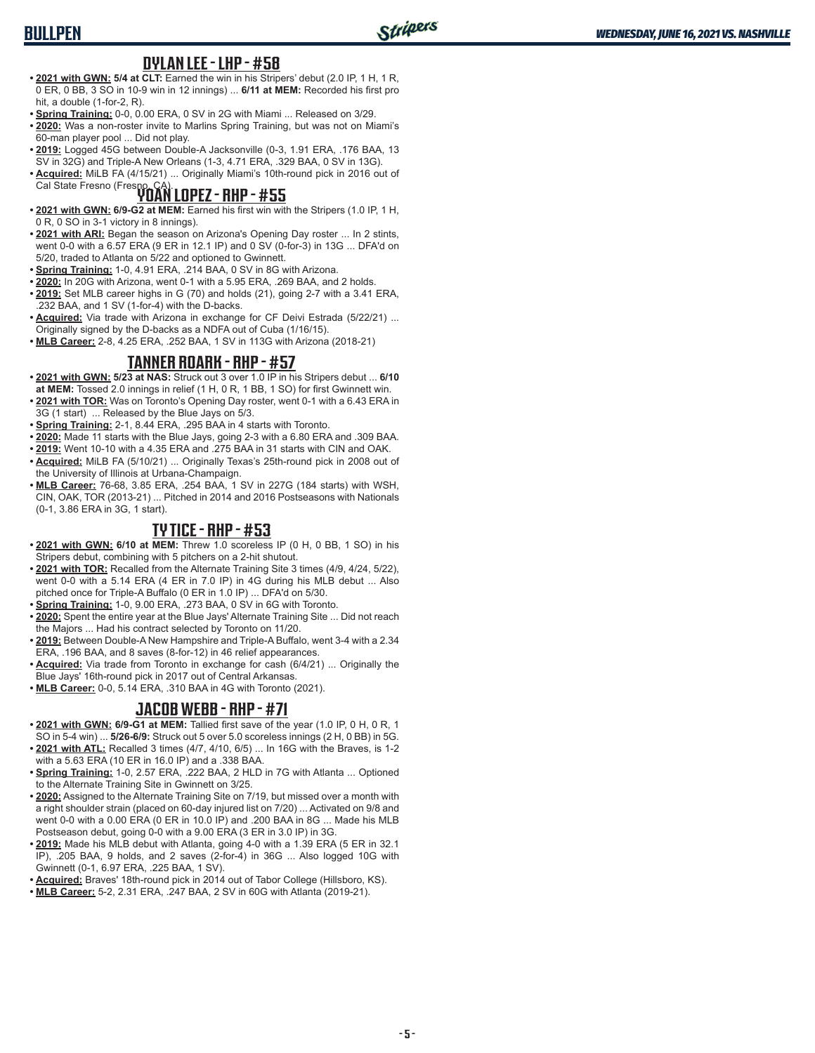## **BULLPEN**

#### **DYLAN LEE - LHP - #58**

- **• 2021 with GWN: 5/4 at CLT:** Earned the win in his Stripers' debut (2.0 IP, 1 H, 1 R, 0 ER, 0 BB, 3 SO in 10-9 win in 12 innings) ... **6/11 at MEM:** Recorded his first pro hit, a double (1-for-2, R).
- **• Spring Training:** 0-0, 0.00 ERA, 0 SV in 2G with Miami ... Released on 3/29.
- **• 2020:** Was a non-roster invite to Marlins Spring Training, but was not on Miami's 60-man player pool ... Did not play.
- **• 2019:** Logged 45G between Double-A Jacksonville (0-3, 1.91 ERA, .176 BAA, 13 SV in 32G) and Triple-A New Orleans (1-3, 4.71 ERA, .329 BAA, 0 SV in 13G).

**• Acquired:** MiLB FA (4/15/21) ... Originally Miami's 10th-round pick in 2016 out of Cal State Fresno (Fresno, CA). **YOAN LOPEZ - RHP - #55**

- **• 2021 with GWN: 6/9-G2 at MEM:** Earned his first win with the Stripers (1.0 IP, 1 H, 0 R, 0 SO in 3-1 victory in 8 innings).
- **• 2021 with ARI:** Began the season on Arizona's Opening Day roster ... In 2 stints, went 0-0 with a 6.57 ERA (9 ER in 12.1 IP) and 0 SV (0-for-3) in 13G ... DFA'd on 5/20, traded to Atlanta on 5/22 and optioned to Gwinnett.
- **• Spring Training:** 1-0, 4.91 ERA, .214 BAA, 0 SV in 8G with Arizona.
- **• 2020:** In 20G with Arizona, went 0-1 with a 5.95 ERA, .269 BAA, and 2 holds.
- **• 2019:** Set MLB career highs in G (70) and holds (21), going 2-7 with a 3.41 ERA, .232 BAA, and 1 SV (1-for-4) with the D-backs.
- **• Acquired:** Via trade with Arizona in exchange for CF Deivi Estrada (5/22/21) ... Originally signed by the D-backs as a NDFA out of Cuba (1/16/15).
- **• MLB Career:** 2-8, 4.25 ERA, .252 BAA, 1 SV in 113G with Arizona (2018-21)

### **TANNER ROARK - RHP - #57**

- **• 2021 with GWN: 5/23 at NAS:** Struck out 3 over 1.0 IP in his Stripers debut ... **6/10 at MEM:** Tossed 2.0 innings in relief (1 H, 0 R, 1 BB, 1 SO) for first Gwinnett win.
- **• 2021 with TOR:** Was on Toronto's Opening Day roster, went 0-1 with a 6.43 ERA in 3G (1 start) ... Released by the Blue Jays on 5/3.
- **• Spring Training:** 2-1, 8.44 ERA, .295 BAA in 4 starts with Toronto.
- **• 2020:** Made 11 starts with the Blue Jays, going 2-3 with a 6.80 ERA and .309 BAA.
- **• 2019:** Went 10-10 with a 4.35 ERA and .275 BAA in 31 starts with CIN and OAK.
- **• Acquired:** MiLB FA (5/10/21) ... Originally Texas's 25th-round pick in 2008 out of the University of Illinois at Urbana-Champaign.
- **• MLB Career:** 76-68, 3.85 ERA, .254 BAA, 1 SV in 227G (184 starts) with WSH, CIN, OAK, TOR (2013-21) ... Pitched in 2014 and 2016 Postseasons with Nationals (0-1, 3.86 ERA in 3G, 1 start).

#### **TY TICE - RHP - #53**

- **• 2021 with GWN: 6/10 at MEM:** Threw 1.0 scoreless IP (0 H, 0 BB, 1 SO) in his Stripers debut, combining with 5 pitchers on a 2-hit shutout.
- **• 2021 with TOR:** Recalled from the Alternate Training Site 3 times (4/9, 4/24, 5/22), went 0-0 with a 5.14 ERA (4 ER in 7.0 IP) in 4G during his MLB debut ... Also pitched once for Triple-A Buffalo (0 ER in 1.0 IP) ... DFA'd on 5/30.
- **• Spring Training:** 1-0, 9.00 ERA, .273 BAA, 0 SV in 6G with Toronto.
- **• 2020:** Spent the entire year at the Blue Jays' Alternate Training Site ... Did not reach the Majors ... Had his contract selected by Toronto on 11/20.
- **• 2019:** Between Double-A New Hampshire and Triple-A Buffalo, went 3-4 with a 2.34 ERA, .196 BAA, and 8 saves (8-for-12) in 46 relief appearances.
- **• Acquired:** Via trade from Toronto in exchange for cash (6/4/21) ... Originally the Blue Jays' 16th-round pick in 2017 out of Central Arkansas.
- **• MLB Career:** 0-0, 5.14 ERA, .310 BAA in 4G with Toronto (2021).

#### **JACOB WEBB - RHP - #71**

- **• 2021 with GWN: 6/9-G1 at MEM:** Tallied first save of the year (1.0 IP, 0 H, 0 R, 1 SO in 5-4 win) ... **5/26-6/9:** Struck out 5 over 5.0 scoreless innings (2 H, 0 BB) in 5G.
- **• 2021 with ATL:** Recalled 3 times (4/7, 4/10, 6/5) ... In 16G with the Braves, is 1-2 with a 5.63 ERA (10 ER in 16.0 IP) and a .338 BAA.
- **• Spring Training:** 1-0, 2.57 ERA, .222 BAA, 2 HLD in 7G with Atlanta ... Optioned to the Alternate Training Site in Gwinnett on 3/25.
- **• 2020:** Assigned to the Alternate Training Site on 7/19, but missed over a month with a right shoulder strain (placed on 60-day injured list on 7/20) ... Activated on 9/8 and went 0-0 with a 0.00 ERA (0 ER in 10.0 IP) and .200 BAA in 8G ... Made his MLB Postseason debut, going 0-0 with a 9.00 ERA (3 ER in 3.0 IP) in 3G.
- **• 2019:** Made his MLB debut with Atlanta, going 4-0 with a 1.39 ERA (5 ER in 32.1 IP), .205 BAA, 9 holds, and 2 saves (2-for-4) in 36G ... Also logged 10G with Gwinnett (0-1, 6.97 ERA, .225 BAA, 1 SV).
- **• Acquired:** Braves' 18th-round pick in 2014 out of Tabor College (Hillsboro, KS).
- **• MLB Career:** 5-2, 2.31 ERA, .247 BAA, 2 SV in 60G with Atlanta (2019-21).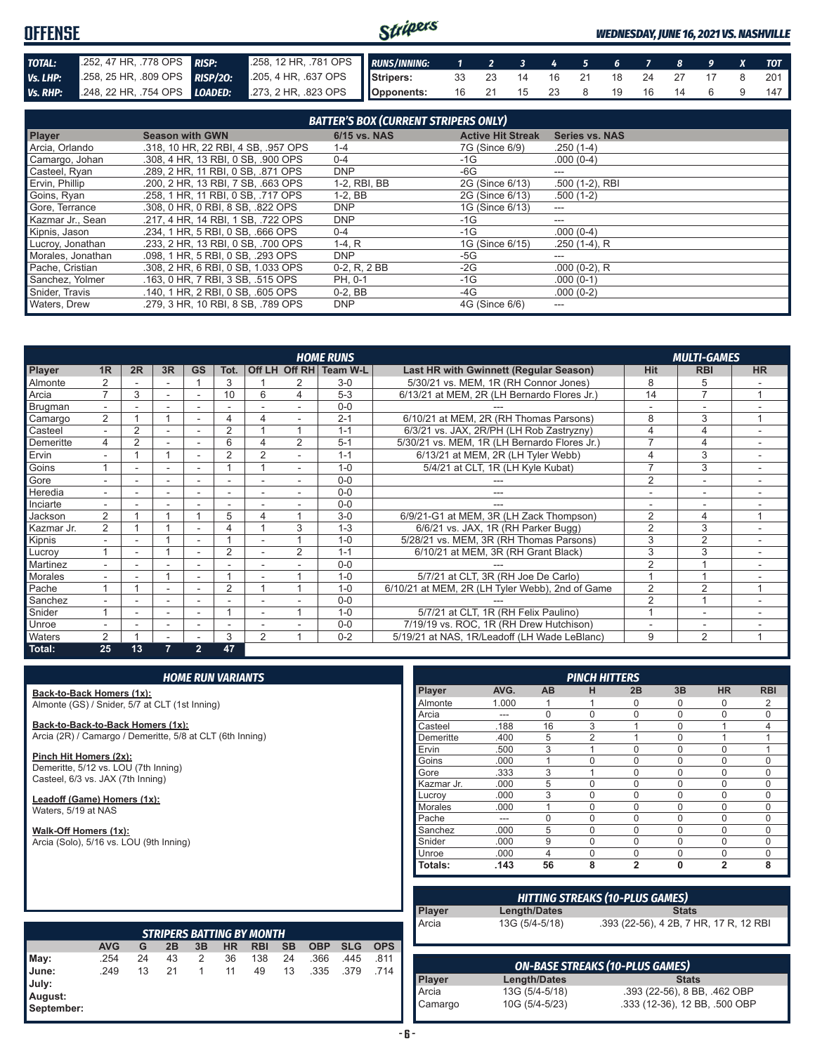#### Stripers **OFFENSE** *WEDNESDAY, JUNE 16, 2021 VS. NASHVILLE TOTAL:* .252, 47 HR, .778 OPS *RISP:* .258, 12 HR, .781 OPS *RUNS/INNING: 1 2 3 4 5 6 7 8 9 X TOT Vs. LHP:* .258, 25 HR, .809 OPS *RISP/2O:* .205, 4 HR, .637 OPS **Stripers:** 33 23 14 16 21 18 24 27 17 8 201 *Vs. RHP:* .248, 22 HR, .754 OPS *LOADED:* .273, 2 HR, .823 OPS **Opponents:** 16 21 15 23 8 19 16 14 6 9 147

| <b>BATTER'S BOX (CURRENT STRIPERS ONLY)</b> |                                     |                |                          |                       |  |  |
|---------------------------------------------|-------------------------------------|----------------|--------------------------|-----------------------|--|--|
| <b>Player</b>                               | <b>Season with GWN</b>              | 6/15 vs. NAS   | <b>Active Hit Streak</b> | <b>Series vs. NAS</b> |  |  |
| Arcia, Orlando                              | .318, 10 HR, 22 RBI, 4 SB, .957 OPS | $1 - 4$        | 7G (Since 6/9)           | $.250(1-4)$           |  |  |
| Camargo, Johan                              | .308. 4 HR. 13 RBI. 0 SB. .900 OPS  | $0 - 4$        | -1G                      | $.000(0-4)$           |  |  |
| Casteel, Ryan                               | .289. 2 HR. 11 RBI. 0 SB. .871 OPS  | <b>DNP</b>     | -6G                      | ---                   |  |  |
| Ervin, Phillip                              | .200. 2 HR. 13 RBI. 7 SB. .663 OPS  | 1-2, RBI, BB   | 2G (Since 6/13)          | .500 (1-2), RBI       |  |  |
| Goins, Ryan                                 | .258. 1 HR. 11 RBI. 0 SB. .717 OPS  | $1-2.$ BB      | 2G (Since 6/13)          | $.500(1-2)$           |  |  |
| Gore, Terrance                              | .308, 0 HR, 0 RBI, 8 SB, .822 OPS   | <b>DNP</b>     | 1G (Since 6/13)          | ---                   |  |  |
| Kazmar Jr., Sean                            | .217, 4 HR, 14 RBI, 1 SB, .722 OPS  | <b>DNP</b>     | -1G                      | ---                   |  |  |
| Kipnis, Jason                               | .234, 1 HR, 5 RBI, 0 SB, .666 OPS   | $0 - 4$        | -1G                      | $.000(0-4)$           |  |  |
| Lucroy, Jonathan                            | .233, 2 HR, 13 RBI, 0 SB, .700 OPS  | $1-4. R$       | 1G (Since 6/15)          | $.250(1-4)$ , R       |  |  |
| Morales, Jonathan                           | .098, 1 HR, 5 RBI, 0 SB, .293 OPS   | <b>DNP</b>     | -5G                      | ---                   |  |  |
| Pache, Cristian                             | .308. 2 HR. 6 RBI. 0 SB. 1.033 OPS  | $0-2. R. 2 BB$ | -2G                      | $.000(0-2)$ , R       |  |  |
| Sanchez, Yolmer                             | .163. 0 HR. 7 RBI. 3 SB. .515 OPS   | PH. 0-1        | -1G                      | $.000(0-1)$           |  |  |
| Snider, Travis                              | .140, 1 HR, 2 RBI, 0 SB, .605 OPS   | $0-2$ , BB     | -4G                      | $.000(0-2)$           |  |  |
| Waters, Drew                                | .279. 3 HR. 10 RBI. 8 SB. .789 OPS  | <b>DNP</b>     | 4G (Since 6/6)           | ---                   |  |  |

|                |                |                          |                          |                |                          |                |   | <b>HOME RUNS</b>       |                                                 |                | <b>MULTI-GAMES</b>       |           |
|----------------|----------------|--------------------------|--------------------------|----------------|--------------------------|----------------|---|------------------------|-------------------------------------------------|----------------|--------------------------|-----------|
| Player         | 1 <sub>R</sub> | 2R                       | 3R                       | <b>GS</b>      | Tot.                     |                |   | Off LH Off RH Team W-L | <b>Last HR with Gwinnett (Regular Season)</b>   | <b>Hit</b>     | <b>RBI</b>               | <b>HR</b> |
| Almonte        |                |                          |                          |                | 3                        |                |   | $3-0$                  | 5/30/21 vs. MEM, 1R (RH Connor Jones)           | 8              | b                        |           |
| Arcia          | ⇁              | 3                        |                          |                | 10                       | 6              | 4 | $5-3$                  | 6/13/21 at MEM, 2R (LH Bernardo Flores Jr.)     | 14             | $\overline{7}$           |           |
| Brugman        |                |                          |                          |                |                          |                |   | $0 - 0$                |                                                 |                |                          |           |
| Camargo        | 2              |                          |                          |                | 4                        |                |   | $2 - 1$                | 6/10/21 at MEM, 2R (RH Thomas Parsons)          | 8              | 3                        |           |
| Casteel        | $\overline{a}$ | $\overline{2}$           | $\sim$                   | $\sim$         | $\overline{2}$           |                |   | $1 - 1$                | 6/3/21 vs. JAX, 2R/PH (LH Rob Zastryzny)        |                | 4                        |           |
| Demeritte      | 4              | $\overline{2}$           |                          |                | 6                        |                | 2 | $5 - 1$                | 5/30/21 vs. MEM, 1R (LH Bernardo Flores Jr.)    |                | 4                        |           |
| Ervin          |                |                          |                          |                | $\overline{2}$           | 2              |   | $1 - 1$                | 6/13/21 at MEM, 2R (LH Tyler Webb)              |                | 3                        |           |
| Goins          |                |                          |                          |                |                          |                |   | $1 - 0$                | 5/4/21 at CLT, 1R (LH Kyle Kubat)               | 7              | 3                        |           |
| Gore           |                |                          | $\overline{\phantom{a}}$ |                | $\overline{\phantom{a}}$ |                |   | $0 - 0$                |                                                 | $\overline{2}$ | $\overline{\phantom{a}}$ |           |
| <b>Heredia</b> | ٠.             |                          |                          |                | $\overline{\phantom{a}}$ |                |   | $0 - 0$                |                                                 |                |                          |           |
| Inciarte       | ٠.             |                          |                          |                |                          |                |   | $0 - 0$                |                                                 |                |                          |           |
| Jackson        | $\overline{2}$ |                          |                          |                | 5                        | 4              |   | $3-0$                  | 6/9/21-G1 at MEM, 3R (LH Zack Thompson)         | $\overline{2}$ | 4                        |           |
| Kazmar Jr.     | $\overline{2}$ |                          |                          |                | 4                        |                | 3 | $1 - 3$                | 6/6/21 vs. JAX, 1R (RH Parker Bugg)             | $\overline{2}$ | 3                        |           |
| Kipnis         | ٠              |                          |                          | $\blacksquare$ |                          |                |   | $1 - 0$                | 5/28/21 vs. MEM, 3R (RH Thomas Parsons)         | 3              | $\overline{2}$           | ۰         |
| Lucroy         |                | $\overline{\phantom{a}}$ |                          |                | $\overline{2}$           |                | 2 | $1 - 1$                | 6/10/21 at MEM, 3R (RH Grant Black)             | 3              | 3                        |           |
| Martinez       |                |                          |                          |                |                          |                |   | $0 - 0$                |                                                 | $\overline{2}$ |                          |           |
| <b>Morales</b> |                |                          |                          |                |                          |                |   | $1 - 0$                | 5/7/21 at CLT, 3R (RH Joe De Carlo)             |                |                          |           |
| Pache          |                |                          |                          |                | $\overline{2}$           |                |   | $1 - 0$                | 6/10/21 at MEM, 2R (LH Tyler Webb), 2nd of Game | $\overline{2}$ | $\overline{2}$           |           |
| Sanchez        |                |                          |                          |                |                          |                |   | $0 - 0$                |                                                 | 2              |                          |           |
| Snider         |                |                          | $\overline{\phantom{a}}$ |                |                          |                |   | $1 - 0$                | 5/7/21 at CLT, 1R (RH Felix Paulino)            |                | $\overline{\phantom{a}}$ |           |
| Unroe          |                |                          |                          |                | $\overline{\phantom{a}}$ |                |   | $0 - 0$                | 7/19/19 vs. ROC, 1R (RH Drew Hutchison)         |                | ۰                        |           |
| <b>Waters</b>  | 2              |                          |                          |                | 3                        | $\overline{2}$ |   | $0 - 2$                | 5/19/21 at NAS, 1R/Leadoff (LH Wade LeBlanc)    | 9              | $\overline{2}$           |           |
| Total:         | 25             | 13                       | $\overline{7}$           | $\overline{2}$ | 47                       |                |   |                        |                                                 |                |                          |           |

|                                         |                                                                           |    |    | <b>HOME RUN VARIANTS</b> |           |                                  |           |            |            |            |               |      |                |
|-----------------------------------------|---------------------------------------------------------------------------|----|----|--------------------------|-----------|----------------------------------|-----------|------------|------------|------------|---------------|------|----------------|
| Back-to-Back Homers (1x):               |                                                                           |    |    |                          |           |                                  |           |            |            |            | <b>Player</b> | AVG. | <b>AB</b>      |
|                                         | Almonte (GS) / Snider, 5/7 at CLT (1st Inning)                            |    |    |                          |           |                                  |           |            |            | Almonte    | 1.000         | 1    |                |
|                                         |                                                                           |    |    |                          |           |                                  |           |            |            | Arcia      | ---           | 0    |                |
| Back-to-Back-to-Back Homers (1x):       |                                                                           |    |    |                          |           |                                  |           |            | Casteel    | .188       | 16            |      |                |
|                                         | Arcia (2R) / Camargo / Demeritte, 5/8 at CLT (6th Inning)                 |    |    |                          |           |                                  |           |            |            |            | Demeritte     | .400 | 5              |
| Pinch Hit Homers (2x):                  |                                                                           |    |    |                          |           |                                  |           |            |            |            | Ervin         | .500 | 3              |
|                                         |                                                                           |    |    |                          |           |                                  |           |            |            |            | Goins         | .000 | 1              |
|                                         | Demeritte, 5/12 vs. LOU (7th Inning)<br>Casteel, 6/3 vs. JAX (7th Inning) |    |    |                          |           |                                  |           |            |            | Gore       | .333          | 3    |                |
|                                         |                                                                           |    |    |                          |           |                                  |           |            |            |            | Kazmar Jr.    | .000 | 5              |
| Leadoff (Game) Homers (1x):             |                                                                           |    |    |                          |           |                                  |           |            |            |            | Lucroy        | .000 | 3              |
| Waters, 5/19 at NAS                     |                                                                           |    |    |                          |           |                                  |           |            |            |            | Morales       | .000 | 1              |
|                                         |                                                                           |    |    |                          |           |                                  |           |            |            |            | Pache         | ---  | 0              |
| Walk-Off Homers (1x):                   |                                                                           |    |    |                          |           |                                  |           |            |            |            | Sanchez       | .000 | 5              |
| Arcia (Solo), 5/16 vs. LOU (9th Inning) |                                                                           |    |    |                          |           |                                  |           |            |            |            | Snider        | .000 | 9              |
|                                         |                                                                           |    |    |                          |           |                                  |           |            |            |            | Unroe         | .000 | 4              |
|                                         |                                                                           |    |    |                          |           |                                  |           |            |            |            | Totals:       | .143 | 56             |
|                                         |                                                                           |    |    |                          |           |                                  |           |            |            |            |               |      | <b>HITTING</b> |
|                                         |                                                                           |    |    |                          |           |                                  |           |            |            |            | Player        |      | Length/Date:   |
|                                         |                                                                           |    |    |                          |           |                                  |           |            |            |            | Arcia         |      | 13G (5/4-5/18  |
|                                         |                                                                           |    |    |                          |           | <b>STRIPERS BATTING BY MONTH</b> |           |            |            |            |               |      |                |
|                                         | <b>AVG</b>                                                                | G  | 2B | 3B                       | <b>HR</b> | <b>RBI</b>                       | <b>SB</b> | <b>OBP</b> | <b>SLG</b> | <b>OPS</b> |               |      |                |
| May:                                    | .254                                                                      | 24 | 43 | 2                        | 36        | 138                              | 24        | .366       | .445       | .811       |               |      |                |
| June:                                   | .249                                                                      | 13 | 21 | $\mathbf{1}$             | 11        | 49                               | 13        | .335       | .379       | .714       |               |      | <b>ON-BASE</b> |
| July:                                   |                                                                           |    |    |                          |           |                                  |           |            |            |            | Player        |      | Length/Date    |
| August:                                 |                                                                           |    |    |                          |           |                                  |           |            |            |            | Arcia         |      | 13G (5/4-5/1   |
|                                         |                                                                           |    |    |                          |           |                                  |           |            |            |            |               |      | 100111110      |

**September:**

|            |       |           | <b>PINCH HITTERS</b> |                |          |                |             |
|------------|-------|-----------|----------------------|----------------|----------|----------------|-------------|
| Player     | AVG.  | <b>AB</b> | н                    | 2B             | 3B       | <b>HR</b>      | <b>RBI</b>  |
| Almonte    | 1.000 | 1         | 1                    | $\Omega$       | $\Omega$ | $\Omega$       | 2           |
| Arcia      | ---   | $\Omega$  | $\Omega$             | $\Omega$       | $\Omega$ | $\Omega$       | 0           |
| Casteel    | .188  | 16        | 3                    |                | $\Omega$ | 1              | 4           |
| Demeritte  | .400  | 5         | $\overline{2}$       |                | $\Omega$ | 1              | 1           |
| Ervin      | .500  | 3         | 1                    | $\Omega$       | $\Omega$ | $\Omega$       | 1           |
| Goins      | .000  | 1         | $\Omega$             | 0              | $\Omega$ | $\Omega$       | $\mathbf 0$ |
| Gore       | .333  | 3         | 1                    | $\Omega$       | $\Omega$ | $\Omega$       | 0           |
| Kazmar Jr. | .000  | 5         | $\Omega$             | 0              | $\Omega$ | $\Omega$       | $\Omega$    |
| Lucrov     | .000  | 3         | $\Omega$             | $\Omega$       | $\Omega$ | $\Omega$       | $\Omega$    |
| Morales    | .000  | 1         | $\Omega$             | $\Omega$       | $\Omega$ | $\Omega$       | $\Omega$    |
| Pache      | ---   | $\Omega$  | $\Omega$             | 0              | $\Omega$ | $\Omega$       | 0           |
| Sanchez    | .000  | 5         | $\Omega$             | 0              | $\Omega$ | 0              | $\mathbf 0$ |
| Snider     | .000  | 9         | $\Omega$             | 0              | $\Omega$ | 0              | 0           |
| Unroe      | .000  | 4         | O                    | 0              | $\Omega$ | 0              | $\Omega$    |
| Totals:    | .143  | 56        | 8                    | $\overline{2}$ | 0        | $\overline{2}$ | 8           |

|               |                                  | <b>HITTING STREAKS (10-PLUS GAMES)</b>                        |
|---------------|----------------------------------|---------------------------------------------------------------|
| <b>Player</b> | <b>Length/Dates</b>              | <b>Stats</b>                                                  |
|               |                                  |                                                               |
| Arcia         | 13G (5/4-5/18)                   | .393 (22-56), 4 2B, 7 HR, 17 R, 12 RBI                        |
|               |                                  |                                                               |
|               |                                  |                                                               |
|               |                                  |                                                               |
|               |                                  |                                                               |
|               |                                  |                                                               |
|               |                                  | <b>ON-BASE STREAKS (10-PLUS GAMES)</b>                        |
| <b>Player</b> | <b>Length/Dates</b>              | <b>Stats</b>                                                  |
| Arcia         | 13G (5/4-5/18)<br>10G (5/4-5/23) | .393 (22-56), 8 BB, .462 OBP<br>.333 (12-36), 12 BB, .500 OBP |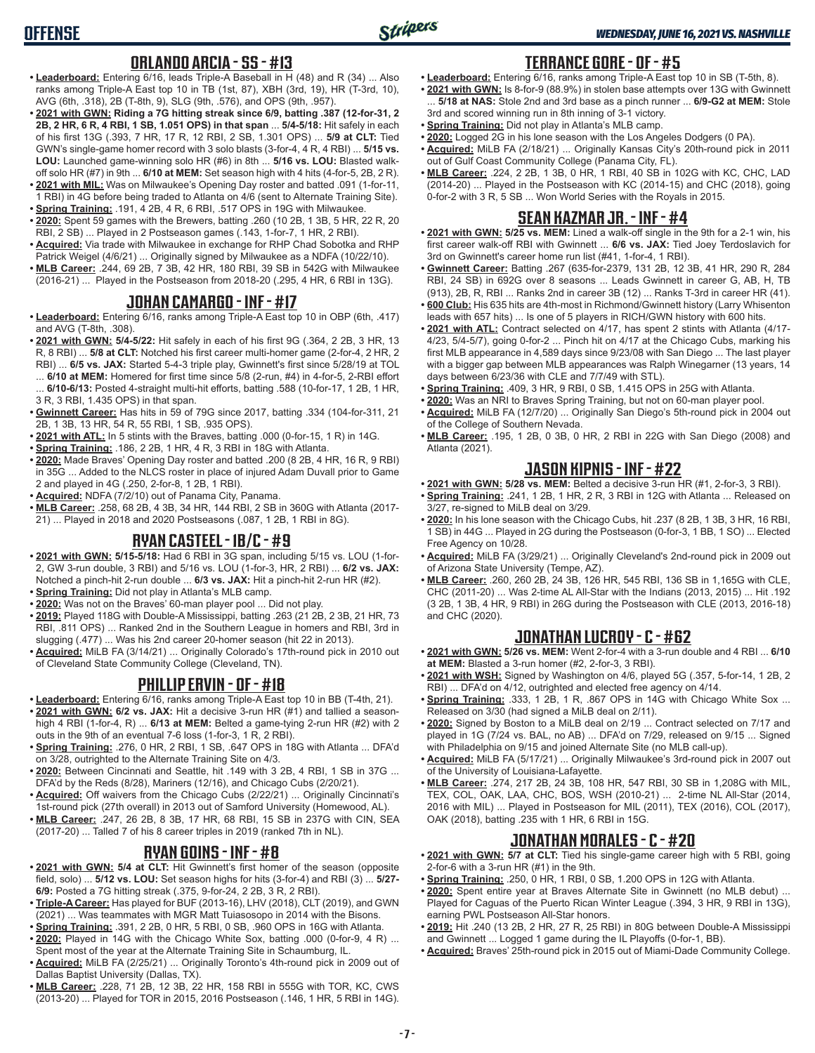#### **ORLANDO ARCIA - SS - #13**

- **• Leaderboard:** Entering 6/16, leads Triple-A Baseball in H (48) and R (34) ... Also ranks among Triple-A East top 10 in TB (1st, 87), XBH (3rd, 19), HR (T-3rd, 10), AVG (6th, .318), 2B (T-8th, 9), SLG (9th, .576), and OPS (9th, .957).
- **• 2021 with GWN: Riding a 7G hitting streak since 6/9, batting .387 (12-for-31, 2 2B, 2 HR, 6 R, 4 RBI, 1 SB, 1.051 OPS) in that span** ... **5/4-5/18:** Hit safely in each of his first 13G (.393, 7 HR, 17 R, 12 RBI, 2 SB, 1.301 OPS) ... **5/9 at CLT:** Tied GWN's single-game homer record with 3 solo blasts (3-for-4, 4 R, 4 RBI) ... **5/15 vs. LOU:** Launched game-winning solo HR (#6) in 8th ... **5/16 vs. LOU:** Blasted walkoff solo HR (#7) in 9th ... **6/10 at MEM:** Set season high with 4 hits (4-for-5, 2B, 2 R).
- **• 2021 with MIL:** Was on Milwaukee's Opening Day roster and batted .091 (1-for-11, 1 RBI) in 4G before being traded to Atlanta on 4/6 (sent to Alternate Training Site).
- **• Spring Training:** .191, 4 2B, 4 R, 6 RBI, .517 OPS in 19G with Milwaukee. **• 2020:** Spent 59 games with the Brewers, batting .260 (10 2B, 1 3B, 5 HR, 22 R, 20 RBI, 2 SB) ... Played in 2 Postseason games (.143, 1-for-7, 1 HR, 2 RBI).
- **• Acquired:** Via trade with Milwaukee in exchange for RHP Chad Sobotka and RHP Patrick Weigel (4/6/21) ... Originally signed by Milwaukee as a NDFA (10/22/10).
- **• MLB Career:** .244, 69 2B, 7 3B, 42 HR, 180 RBI, 39 SB in 542G with Milwaukee (2016-21) ... Played in the Postseason from 2018-20 (.295, 4 HR, 6 RBI in 13G).

### **JOHAN CAMARGO - INF - #17**

- **• Leaderboard:** Entering 6/16, ranks among Triple-A East top 10 in OBP (6th, .417) and AVG (T-8th, .308).
- **• 2021 with GWN: 5/4-5/22:** Hit safely in each of his first 9G (.364, 2 2B, 3 HR, 13 R, 8 RBI) ... **5/8 at CLT:** Notched his first career multi-homer game (2-for-4, 2 HR, 2 RBI) ... **6/5 vs. JAX:** Started 5-4-3 triple play, Gwinnett's first since 5/28/19 at TOL ... **6/10 at MEM:** Homered for first time since 5/8 (2-run, #4) in 4-for-5, 2-RBI effort ... **6/10-6/13:** Posted 4-straight multi-hit efforts, batting .588 (10-for-17, 1 2B, 1 HR, 3 R, 3 RBI, 1.435 OPS) in that span.
- **• Gwinnett Career:** Has hits in 59 of 79G since 2017, batting .334 (104-for-311, 21 2B, 1 3B, 13 HR, 54 R, 55 RBI, 1 SB, .935 OPS).
- **• 2021 with ATL:** In 5 stints with the Braves, batting .000 (0-for-15, 1 R) in 14G.
- **• Spring Training:** .186, 2 2B, 1 HR, 4 R, 3 RBI in 18G with Atlanta.
- **• 2020:** Made Braves' Opening Day roster and batted .200 (8 2B, 4 HR, 16 R, 9 RBI) in 35G ... Added to the NLCS roster in place of injured Adam Duvall prior to Game 2 and played in 4G (.250, 2-for-8, 1 2B, 1 RBI).
- **• Acquired:** NDFA (7/2/10) out of Panama City, Panama.
- **• MLB Career:** .258, 68 2B, 4 3B, 34 HR, 144 RBI, 2 SB in 360G with Atlanta (2017- 21) ... Played in 2018 and 2020 Postseasons (.087, 1 2B, 1 RBI in 8G).

#### **RYAN CASTEEL - 1B/C - #9**

- **• 2021 with GWN: 5/15-5/18:** Had 6 RBI in 3G span, including 5/15 vs. LOU (1-for-2, GW 3-run double, 3 RBI) and 5/16 vs. LOU (1-for-3, HR, 2 RBI) ... **6/2 vs. JAX:** Notched a pinch-hit 2-run double ... **6/3 vs. JAX:** Hit a pinch-hit 2-run HR (#2).
- **• Spring Training:** Did not play in Atlanta's MLB camp.
- **• 2020:** Was not on the Braves' 60-man player pool ... Did not play.
- **• 2019:** Played 118G with Double-A Mississippi, batting .263 (21 2B, 2 3B, 21 HR, 73 RBI, .811 OPS) ... Ranked 2nd in the Southern League in homers and RBI, 3rd in slugging (.477) ... Was his 2nd career 20-homer season (hit 22 in 2013).
- **• Acquired:** MiLB FA (3/14/21) ... Originally Colorado's 17th-round pick in 2010 out of Cleveland State Community College (Cleveland, TN).

#### **PHILLIP ERVIN - OF - #18**

- **• Leaderboard:** Entering 6/16, ranks among Triple-A East top 10 in BB (T-4th, 21).
- **• 2021 with GWN: 6/2 vs. JAX:** Hit a decisive 3-run HR (#1) and tallied a seasonhigh 4 RBI (1-for-4, R) ... **6/13 at MEM:** Belted a game-tying 2-run HR (#2) with 2 outs in the 9th of an eventual 7-6 loss (1-for-3, 1 R, 2 RBI).
- **• Spring Training:** .276, 0 HR, 2 RBI, 1 SB, .647 OPS in 18G with Atlanta ... DFA'd on 3/28, outrighted to the Alternate Training Site on 4/3.
- **• 2020:** Between Cincinnati and Seattle, hit .149 with 3 2B, 4 RBI, 1 SB in 37G ... DFA'd by the Reds (8/28), Mariners (12/16), and Chicago Cubs (2/20/21).
- **• Acquired:** Off waivers from the Chicago Cubs (2/22/21) ... Originally Cincinnati's 1st-round pick (27th overall) in 2013 out of Samford University (Homewood, AL).
- **• MLB Career:** .247, 26 2B, 8 3B, 17 HR, 68 RBI, 15 SB in 237G with CIN, SEA (2017-20) ... Talled 7 of his 8 career triples in 2019 (ranked 7th in NL).

#### **RYAN GOINS - INF - #8**

- **• 2021 with GWN: 5/4 at CLT:** Hit Gwinnett's first homer of the season (opposite field, solo) ... **5/12 vs. LOU:** Set season highs for hits (3-for-4) and RBI (3) ... **5/27- 6/9:** Posted a 7G hitting streak (.375, 9-for-24, 2 2B, 3 R, 2 RBI).
- **• Triple-A Career:** Has played for BUF (2013-16), LHV (2018), CLT (2019), and GWN (2021) ... Was teammates with MGR Matt Tuiasosopo in 2014 with the Bisons.
- **• Spring Training:** .391, 2 2B, 0 HR, 5 RBI, 0 SB, .960 OPS in 16G with Atlanta.
- **• 2020:** Played in 14G with the Chicago White Sox, batting .000 (0-for-9, 4 R) ...
- Spent most of the year at the Alternate Training Site in Schaumburg, IL. **• Acquired:** MiLB FA (2/25/21) ... Originally Toronto's 4th-round pick in 2009 out of Dallas Baptist University (Dallas, TX).
- **• MLB Career:** .228, 71 2B, 12 3B, 22 HR, 158 RBI in 555G with TOR, KC, CWS (2013-20) ... Played for TOR in 2015, 2016 Postseason (.146, 1 HR, 5 RBI in 14G).

#### **TERRANCE GORE - OF - #5**

- **• Leaderboard:** Entering 6/16, ranks among Triple-A East top 10 in SB (T-5th, 8). **• 2021 with GWN:** Is 8-for-9 (88.9%) in stolen base attempts over 13G with Gwinnett
- ... **5/18 at NAS:** Stole 2nd and 3rd base as a pinch runner ... **6/9-G2 at MEM:** Stole 3rd and scored winning run in 8th inning of 3-1 victory.
- **• Spring Training:** Did not play in Atlanta's MLB camp.
- **• 2020:** Logged 2G in his lone season with the Los Angeles Dodgers (0 PA).
- **• Acquired:** MiLB FA (2/18/21) ... Originally Kansas City's 20th-round pick in 2011 out of Gulf Coast Community College (Panama City, FL).
- **• MLB Career:** .224, 2 2B, 1 3B, 0 HR, 1 RBI, 40 SB in 102G with KC, CHC, LAD (2014-20) ... Played in the Postseason with KC (2014-15) and CHC (2018), going 0-for-2 with 3 R, 5 SB ... Won World Series with the Royals in 2015.

## **SEAN KAZMAR JR. - INF - #4**

- **• 2021 with GWN: 5/25 vs. MEM:** Lined a walk-off single in the 9th for a 2-1 win, his first career walk-off RBI with Gwinnett ... **6/6 vs. JAX:** Tied Joey Terdoslavich for 3rd on Gwinnett's career home run list (#41, 1-for-4, 1 RBI).
- **• Gwinnett Career:** Batting .267 (635-for-2379, 131 2B, 12 3B, 41 HR, 290 R, 284 RBI, 24 SB) in 692G over 8 seasons ... Leads Gwinnett in career G, AB, H, TB (913), 2B, R, RBI ... Ranks 2nd in career 3B (12) ... Ranks T-3rd in career HR (41).
- **• 600 Club:** His 635 hits are 4th-most in Richmond/Gwinnett history (Larry Whisenton leads with 657 hits) ... Is one of 5 players in RICH/GWN history with 600 hits.
- **• 2021 with ATL:** Contract selected on 4/17, has spent 2 stints with Atlanta (4/17- 4/23, 5/4-5/7), going 0-for-2 ... Pinch hit on 4/17 at the Chicago Cubs, marking his first MLB appearance in 4,589 days since 9/23/08 with San Diego ... The last player with a bigger gap between MLB appearances was Ralph Winegarner (13 years, 14 days between 6/23/36 with CLE and 7/7/49 with STL).
- **• Spring Training:** .409, 3 HR, 9 RBI, 0 SB, 1.415 OPS in 25G with Atlanta.
- **• 2020:** Was an NRI to Braves Spring Training, but not on 60-man player pool.
- **• Acquired:** MiLB FA (12/7/20) ... Originally San Diego's 5th-round pick in 2004 out of the College of Southern Nevada.
- **• MLB Career:** .195, 1 2B, 0 3B, 0 HR, 2 RBI in 22G with San Diego (2008) and Atlanta (2021).

#### **JASON KIPNIS - INF - #22**

- **• 2021 with GWN: 5/28 vs. MEM:** Belted a decisive 3-run HR (#1, 2-for-3, 3 RBI).
- **• Spring Training:** .241, 1 2B, 1 HR, 2 R, 3 RBI in 12G with Atlanta ... Released on 3/27, re-signed to MiLB deal on 3/29.
- **• 2020:** In his lone season with the Chicago Cubs, hit .237 (8 2B, 1 3B, 3 HR, 16 RBI, 1 SB) in 44G ... Played in 2G during the Postseason (0-for-3, 1 BB, 1 SO) ... Elected Free Agency on 10/28.
- **• Acquired:** MiLB FA (3/29/21) ... Originally Cleveland's 2nd-round pick in 2009 out of Arizona State University (Tempe, AZ).
- **• MLB Career:** .260, 260 2B, 24 3B, 126 HR, 545 RBI, 136 SB in 1,165G with CLE, CHC (2011-20) ... Was 2-time AL All-Star with the Indians (2013, 2015) ... Hit .192 (3 2B, 1 3B, 4 HR, 9 RBI) in 26G during the Postseason with CLE (2013, 2016-18) and CHC (2020).

#### **JONATHAN LUCROY - C - #62**

- **• 2021 with GWN: 5/26 vs. MEM:** Went 2-for-4 with a 3-run double and 4 RBI ... **6/10 at MEM:** Blasted a 3-run homer (#2, 2-for-3, 3 RBI).
- **• 2021 with WSH:** Signed by Washington on 4/6, played 5G (.357, 5-for-14, 1 2B, 2 RBI) ... DFA'd on 4/12, outrighted and elected free agency on 4/14.
- **• Spring Training:** .333, 1 2B, 1 R, .867 OPS in 14G with Chicago White Sox ... Released on 3/30 (had signed a MiLB deal on 2/11).
- **• 2020:** Signed by Boston to a MiLB deal on 2/19 ... Contract selected on 7/17 and played in 1G (7/24 vs. BAL, no AB) ... DFA'd on 7/29, released on 9/15 ... Signed with Philadelphia on 9/15 and joined Alternate Site (no MLB call-up).
- **• Acquired:** MiLB FA (5/17/21) ... Originally Milwaukee's 3rd-round pick in 2007 out of the University of Louisiana-Lafayette.
- **• MLB Career:** .274, 217 2B, 24 3B, 108 HR, 547 RBI, 30 SB in 1,208G with MIL, TEX, COL, OAK, LAA, CHC, BOS, WSH (2010-21) ... 2-time NL All-Star (2014, 2016 with MIL) ... Played in Postseason for MIL (2011), TEX (2016), COL (2017), OAK (2018), batting .235 with 1 HR, 6 RBI in 15G.

#### **JONATHAN MORALES - C - #20**

- **• 2021 with GWN: 5/7 at CLT:** Tied his single-game career high with 5 RBI, going 2-for-6 with a 3-run HR (#1) in the 9th.
- **• Spring Training:** .250, 0 HR, 1 RBI, 0 SB, 1.200 OPS in 12G with Atlanta.
- **• 2020:** Spent entire year at Braves Alternate Site in Gwinnett (no MLB debut) ... Played for Caguas of the Puerto Rican Winter League (.394, 3 HR, 9 RBI in 13G), earning PWL Postseason All-Star honors.
- **• 2019:** Hit .240 (13 2B, 2 HR, 27 R, 25 RBI) in 80G between Double-A Mississippi and Gwinnett ... Logged 1 game during the IL Playoffs (0-for-1, BB).
- **• Acquired:** Braves' 25th-round pick in 2015 out of Miami-Dade Community College.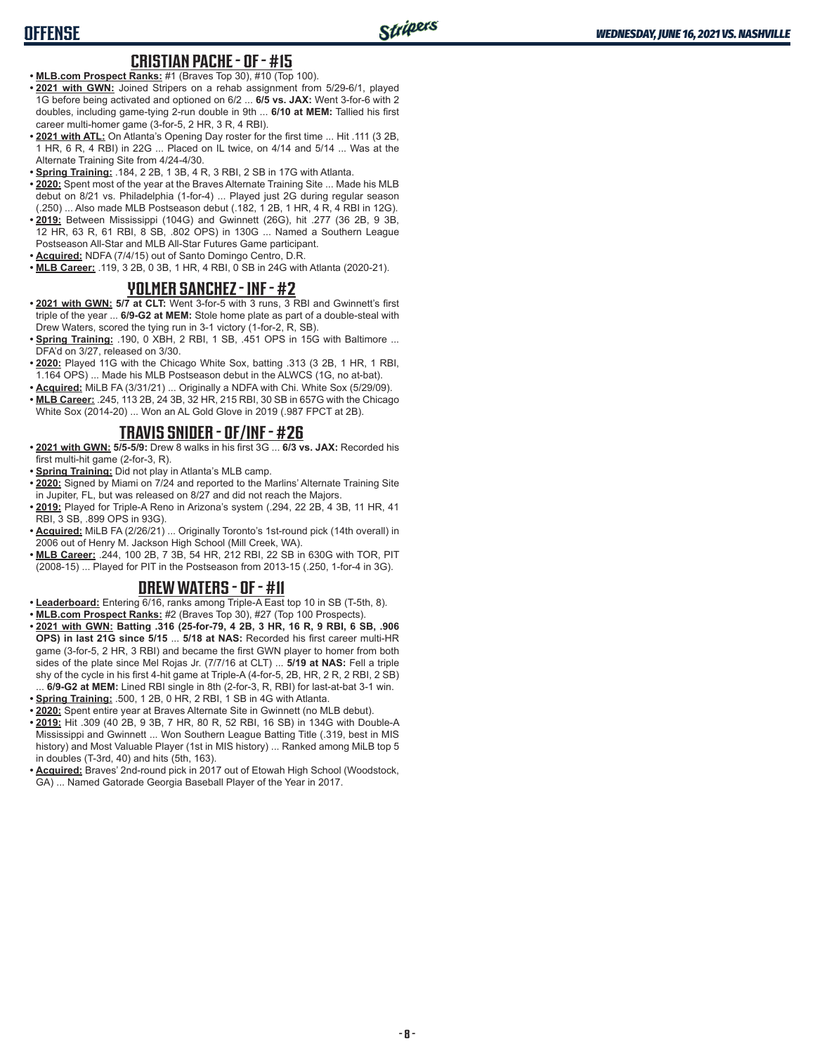## **OFFENSE**

#### **CRISTIAN PACHE - OF - #15**

- **• MLB.com Prospect Ranks:** #1 (Braves Top 30), #10 (Top 100).
- **• 2021 with GWN:** Joined Stripers on a rehab assignment from 5/29-6/1, played 1G before being activated and optioned on 6/2 ... **6/5 vs. JAX:** Went 3-for-6 with 2 doubles, including game-tying 2-run double in 9th ... **6/10 at MEM:** Tallied his first career multi-homer game (3-for-5, 2 HR, 3 R, 4 RBI).
- **• 2021 with ATL:** On Atlanta's Opening Day roster for the first time ... Hit .111 (3 2B, 1 HR, 6 R, 4 RBI) in 22G ... Placed on IL twice, on 4/14 and 5/14 ... Was at the Alternate Training Site from 4/24-4/30.
- **• Spring Training:** .184, 2 2B, 1 3B, 4 R, 3 RBI, 2 SB in 17G with Atlanta.
- **• 2020:** Spent most of the year at the Braves Alternate Training Site ... Made his MLB debut on 8/21 vs. Philadelphia (1-for-4) ... Played just 2G during regular season (.250) ... Also made MLB Postseason debut (.182, 1 2B, 1 HR, 4 R, 4 RBI in 12G).
- **• 2019:** Between Mississippi (104G) and Gwinnett (26G), hit .277 (36 2B, 9 3B, 12 HR, 63 R, 61 RBI, 8 SB, .802 OPS) in 130G ... Named a Southern League Postseason All-Star and MLB All-Star Futures Game participant.
- **• Acquired:** NDFA (7/4/15) out of Santo Domingo Centro, D.R.
- **• MLB Career:** .119, 3 2B, 0 3B, 1 HR, 4 RBI, 0 SB in 24G with Atlanta (2020-21).

#### **YOLMER SANCHEZ - INF - #2**

- **• 2021 with GWN: 5/7 at CLT:** Went 3-for-5 with 3 runs, 3 RBI and Gwinnett's first triple of the year ... **6/9-G2 at MEM:** Stole home plate as part of a double-steal with Drew Waters, scored the tying run in 3-1 victory (1-for-2, R, SB).
- **• Spring Training:** .190, 0 XBH, 2 RBI, 1 SB, .451 OPS in 15G with Baltimore ... DFA'd on 3/27, released on 3/30.
- **• 2020:** Played 11G with the Chicago White Sox, batting .313 (3 2B, 1 HR, 1 RBI, 1.164 OPS) ... Made his MLB Postseason debut in the ALWCS (1G, no at-bat).
- **• Acquired:** MiLB FA (3/31/21) ... Originally a NDFA with Chi. White Sox (5/29/09).
- **• MLB Career:** .245, 113 2B, 24 3B, 32 HR, 215 RBI, 30 SB in 657G with the Chicago White Sox (2014-20) ... Won an AL Gold Glove in 2019 (.987 FPCT at 2B).

#### **TRAVIS SNIDER - OF/INF - #26**

- **• 2021 with GWN: 5/5-5/9:** Drew 8 walks in his first 3G ... **6/3 vs. JAX:** Recorded his first multi-hit game (2-for-3, R).
- **• Spring Training:** Did not play in Atlanta's MLB camp.
- **• 2020:** Signed by Miami on 7/24 and reported to the Marlins' Alternate Training Site in Jupiter, FL, but was released on 8/27 and did not reach the Majors.
- **• 2019:** Played for Triple-A Reno in Arizona's system (.294, 22 2B, 4 3B, 11 HR, 41 RBI, 3 SB, .899 OPS in 93G).
- **• Acquired:** MiLB FA (2/26/21) ... Originally Toronto's 1st-round pick (14th overall) in 2006 out of Henry M. Jackson High School (Mill Creek, WA).
- **• MLB Career:** .244, 100 2B, 7 3B, 54 HR, 212 RBI, 22 SB in 630G with TOR, PIT (2008-15) ... Played for PIT in the Postseason from 2013-15 (.250, 1-for-4 in 3G).

#### **DREW WATERS - OF - #11**

- **• Leaderboard:** Entering 6/16, ranks among Triple-A East top 10 in SB (T-5th, 8).
- **• MLB.com Prospect Ranks:** #2 (Braves Top 30), #27 (Top 100 Prospects).
- **• 2021 with GWN: Batting .316 (25-for-79, 4 2B, 3 HR, 16 R, 9 RBI, 6 SB, .906 OPS) in last 21G since 5/15** ... **5/18 at NAS:** Recorded his first career multi-HR game (3-for-5, 2 HR, 3 RBI) and became the first GWN player to homer from both sides of the plate since Mel Rojas Jr. (7/7/16 at CLT) ... **5/19 at NAS:** Fell a triple shy of the cycle in his first 4-hit game at Triple-A (4-for-5, 2B, HR, 2 R, 2 RBI, 2 SB) ... **6/9-G2 at MEM:** Lined RBI single in 8th (2-for-3, R, RBI) for last-at-bat 3-1 win.
- **• Spring Training:** .500, 1 2B, 0 HR, 2 RBI, 1 SB in 4G with Atlanta.
- **• 2020:** Spent entire year at Braves Alternate Site in Gwinnett (no MLB debut).
- **• 2019:** Hit .309 (40 2B, 9 3B, 7 HR, 80 R, 52 RBI, 16 SB) in 134G with Double-A Mississippi and Gwinnett ... Won Southern League Batting Title (.319, best in MIS history) and Most Valuable Player (1st in MIS history) ... Ranked among MiLB top 5 in doubles (T-3rd, 40) and hits (5th, 163).
- **• Acquired:** Braves' 2nd-round pick in 2017 out of Etowah High School (Woodstock, GA) ... Named Gatorade Georgia Baseball Player of the Year in 2017.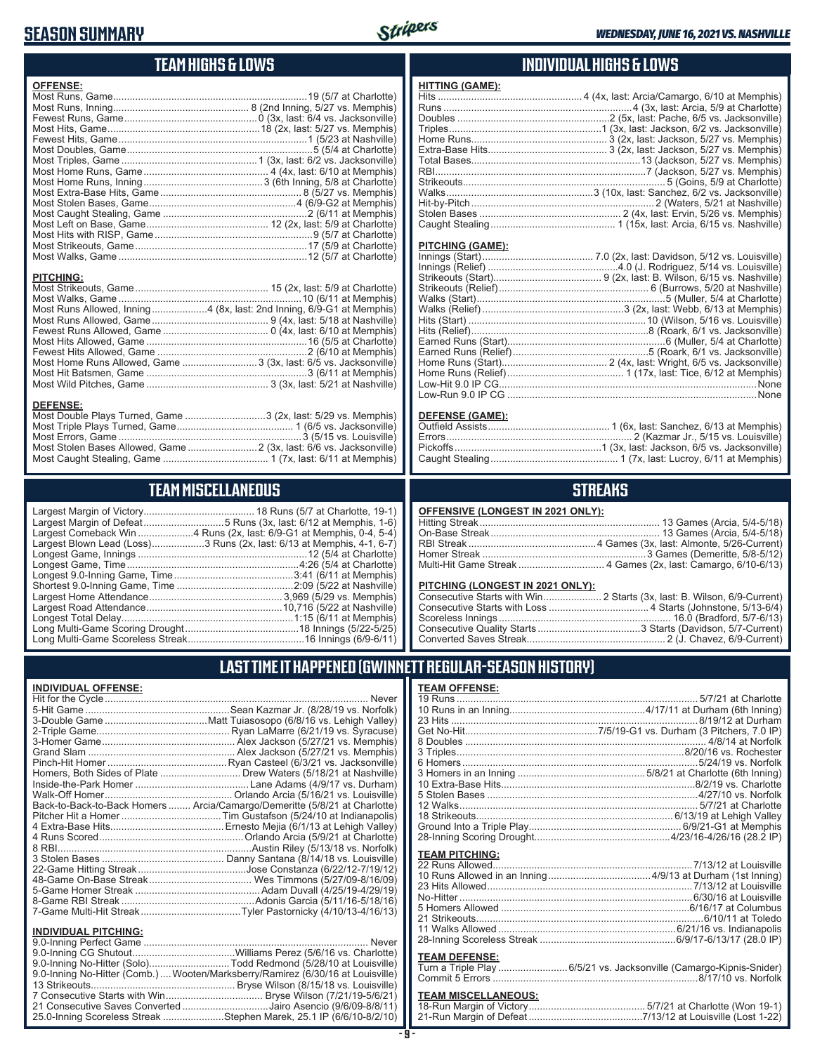## **SEASON SUMMARY**



| TEAM HIGHS & LOWS                                                                                                                                             |                                                                                                                                                                                                       |
|---------------------------------------------------------------------------------------------------------------------------------------------------------------|-------------------------------------------------------------------------------------------------------------------------------------------------------------------------------------------------------|
| <b>OFFENSE:</b>                                                                                                                                               | <b>HITTIN</b><br>Hits<br>Runs.<br>Double<br>Triples<br>Home<br>Extra-<br><b>Total E</b><br><b>RBI</b><br>Striked<br>Walks.<br>Hit-by-<br>Stolen<br>Caugh<br><b>PITCH</b><br>Innings<br><b>Innings</b> |
| <b>PITCHING:</b><br>Most Runs Allowed, Inning 4 (8x, last: 2nd Inning, 6/9-G1 at Memphis)<br>Most Home Runs Allowed, Game  3 (3x, last: 6/5 vs. Jacksonville) | <b>Striked</b><br>Striked<br>Walks<br>Walks<br>Hits (S<br>Hits (R<br>Earned<br>Earned<br>Home<br>Home<br>Low-H<br>$I_0w-R$                                                                            |
| <b>DEFENSE:</b><br>Most Double Plays Turned, Game 3 (2x, last: 5/29 vs. Memphis)<br>Most Stolen Bases Allowed, Game  2 (3x, last: 6/6 vs. Jacksonville)       | <b>DEFEI</b><br>Outfiel<br>Errors.<br>Pickoff<br>Caugh                                                                                                                                                |

### **TEAM MISCELLANEOUS**

| Largest Blown Lead (Loss)3 Runs (2x, last: 6/13 at Memphis, 4-1, 6-7) |
|-----------------------------------------------------------------------|
|                                                                       |
|                                                                       |
|                                                                       |
|                                                                       |
|                                                                       |
|                                                                       |
|                                                                       |
|                                                                       |
|                                                                       |

### **INDIVIDUAL HIGHS & LOWS**

| HITTING (GAME): |                                                                         |
|-----------------|-------------------------------------------------------------------------|
|                 |                                                                         |
|                 |                                                                         |
|                 |                                                                         |
|                 |                                                                         |
|                 |                                                                         |
|                 |                                                                         |
|                 |                                                                         |
|                 |                                                                         |
|                 |                                                                         |
|                 |                                                                         |
|                 |                                                                         |
|                 |                                                                         |
|                 | Caught Stealing……………………………………… 1 (15x, last: Arcia, 6/15 vs. Nashville) |
|                 |                                                                         |

#### **IING (GAME):**

| None                                                  |
|-------------------------------------------------------|
| Low-Run 9.0 IP CG …………………………………………………………………………………None |

#### <u>**NSE (GAME):**</u>

### **STREAKS**

#### **OFFENSIVE (LONGEST IN 2021 ONLY):**

#### **PITCHING (LONGEST IN 2021 ONLY):**

## **LAST TIME IT HAPPENED (GWINNETT REGULAR-SEASON HISTORY)**

#### **INDIVIDUAL OFFENSE:**

|                             | Homers, Both Sides of Plate  Drew Waters (5/18/21 at Nashville)            |
|-----------------------------|----------------------------------------------------------------------------|
|                             |                                                                            |
|                             |                                                                            |
|                             | Back-to-Back-to-Back Homers  Arcia/Camargo/Demeritte (5/8/21 at Charlotte) |
|                             |                                                                            |
|                             |                                                                            |
|                             |                                                                            |
|                             |                                                                            |
|                             |                                                                            |
|                             |                                                                            |
|                             |                                                                            |
|                             |                                                                            |
|                             |                                                                            |
|                             |                                                                            |
|                             |                                                                            |
| <b>INDIVIDUAL PITCHING:</b> |                                                                            |
|                             |                                                                            |

| 9.0-Inning No-Hitter (Solo)Todd Redmond (5/28/10 at Louisville)                |  |
|--------------------------------------------------------------------------------|--|
| 9.0-Inning No-Hitter (Comb.) Wooten/Marksberry/Ramirez (6/30/16 at Louisville) |  |
|                                                                                |  |
|                                                                                |  |
| 21 Consecutive Saves Converted Jairo Asencio (9/6/09-8/8/11)                   |  |
| 25.0-Inning Scoreless Streak Stephen Marek, 25.1 IP (6/6/10-8/2/10)            |  |
|                                                                                |  |

#### **TEAM OFFENSE:**

| <b>TEAM PITCHING:</b> |  |
|-----------------------|--|
|                       |  |
|                       |  |
|                       |  |
|                       |  |
|                       |  |
|                       |  |
|                       |  |
|                       |  |
| <b>TEAM DEFENSE:</b>  |  |
|                       |  |
|                       |  |

## Commit 5 Errors 8/17/10 vs. Norfolk

## **TEAM MISCELLANEOUS:**<br>18-Run Margin of Victory.....